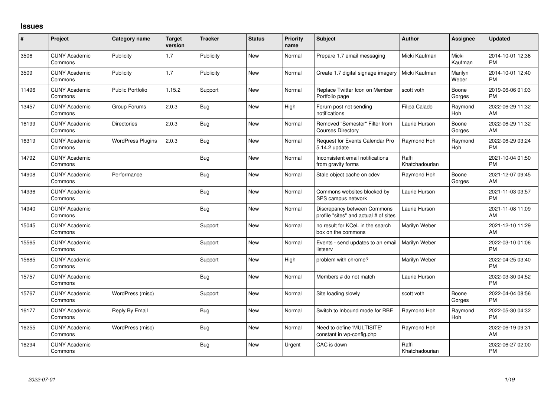## **Issues**

| #     | Project                         | <b>Category name</b>     | <b>Target</b><br>version | <b>Tracker</b> | <b>Status</b> | Priority<br>name | Subject                                                              | <b>Author</b>           | <b>Assignee</b>  | <b>Updated</b>                |
|-------|---------------------------------|--------------------------|--------------------------|----------------|---------------|------------------|----------------------------------------------------------------------|-------------------------|------------------|-------------------------------|
| 3506  | <b>CUNY Academic</b><br>Commons | Publicity                | 1.7                      | Publicity      | <b>New</b>    | Normal           | Prepare 1.7 email messaging                                          | Micki Kaufman           | Micki<br>Kaufman | 2014-10-01 12:36<br><b>PM</b> |
| 3509  | <b>CUNY Academic</b><br>Commons | Publicity                | 1.7                      | Publicity      | New           | Normal           | Create 1.7 digital signage imagery                                   | Micki Kaufman           | Marilyn<br>Weber | 2014-10-01 12:40<br><b>PM</b> |
| 11496 | <b>CUNY Academic</b><br>Commons | <b>Public Portfolio</b>  | 1.15.2                   | Support        | New           | Normal           | Replace Twitter Icon on Member<br>Portfolio page                     | scott voth              | Boone<br>Gorges  | 2019-06-06 01:03<br><b>PM</b> |
| 13457 | <b>CUNY Academic</b><br>Commons | Group Forums             | 2.0.3                    | <b>Bug</b>     | <b>New</b>    | High             | Forum post not sending<br>notifications                              | Filipa Calado           | Raymond<br>Hoh   | 2022-06-29 11:32<br>AM        |
| 16199 | <b>CUNY Academic</b><br>Commons | <b>Directories</b>       | 2.0.3                    | Bug            | <b>New</b>    | Normal           | Removed "Semester" Filter from<br><b>Courses Directory</b>           | Laurie Hurson           | Boone<br>Gorges  | 2022-06-29 11:32<br>AM        |
| 16319 | <b>CUNY Academic</b><br>Commons | <b>WordPress Plugins</b> | 2.0.3                    | Bug            | New           | Normal           | Request for Events Calendar Pro<br>5.14.2 update                     | Raymond Hoh             | Raymond<br>Hoh   | 2022-06-29 03:24<br><b>PM</b> |
| 14792 | <b>CUNY Academic</b><br>Commons |                          |                          | Bug            | New           | Normal           | Inconsistent email notifications<br>from gravity forms               | Raffi<br>Khatchadourian |                  | 2021-10-04 01:50<br><b>PM</b> |
| 14908 | <b>CUNY Academic</b><br>Commons | Performance              |                          | <b>Bug</b>     | New           | Normal           | Stale object cache on cdev                                           | Raymond Hoh             | Boone<br>Gorges  | 2021-12-07 09:45<br>AM        |
| 14936 | <b>CUNY Academic</b><br>Commons |                          |                          | <b>Bug</b>     | <b>New</b>    | Normal           | Commons websites blocked by<br>SPS campus network                    | Laurie Hurson           |                  | 2021-11-03 03:57<br><b>PM</b> |
| 14940 | <b>CUNY Academic</b><br>Commons |                          |                          | Bug            | <b>New</b>    | Normal           | Discrepancy between Commons<br>profile "sites" and actual # of sites | Laurie Hurson           |                  | 2021-11-08 11:09<br>AM        |
| 15045 | <b>CUNY Academic</b><br>Commons |                          |                          | Support        | <b>New</b>    | Normal           | no result for KCeL in the search<br>box on the commons               | Marilyn Weber           |                  | 2021-12-10 11:29<br>AM        |
| 15565 | <b>CUNY Academic</b><br>Commons |                          |                          | Support        | <b>New</b>    | Normal           | Events - send updates to an email<br>listserv                        | Marilyn Weber           |                  | 2022-03-10 01:06<br><b>PM</b> |
| 15685 | <b>CUNY Academic</b><br>Commons |                          |                          | Support        | <b>New</b>    | High             | problem with chrome?                                                 | Marilyn Weber           |                  | 2022-04-25 03:40<br><b>PM</b> |
| 15757 | <b>CUNY Academic</b><br>Commons |                          |                          | Bug            | <b>New</b>    | Normal           | Members # do not match                                               | Laurie Hurson           |                  | 2022-03-30 04:52<br><b>PM</b> |
| 15767 | <b>CUNY Academic</b><br>Commons | WordPress (misc)         |                          | Support        | <b>New</b>    | Normal           | Site loading slowly                                                  | scott voth              | Boone<br>Gorges  | 2022-04-04 08:56<br><b>PM</b> |
| 16177 | <b>CUNY Academic</b><br>Commons | Reply By Email           |                          | Bug            | <b>New</b>    | Normal           | Switch to Inbound mode for RBE                                       | Raymond Hoh             | Raymond<br>Hoh   | 2022-05-30 04:32<br><b>PM</b> |
| 16255 | <b>CUNY Academic</b><br>Commons | WordPress (misc)         |                          | Bug            | <b>New</b>    | Normal           | Need to define 'MULTISITE'<br>constant in wp-config.php              | Raymond Hoh             |                  | 2022-06-19 09:31<br>AM        |
| 16294 | <b>CUNY Academic</b><br>Commons |                          |                          | Bug            | <b>New</b>    | Urgent           | CAC is down                                                          | Raffi<br>Khatchadourian |                  | 2022-06-27 02:00<br><b>PM</b> |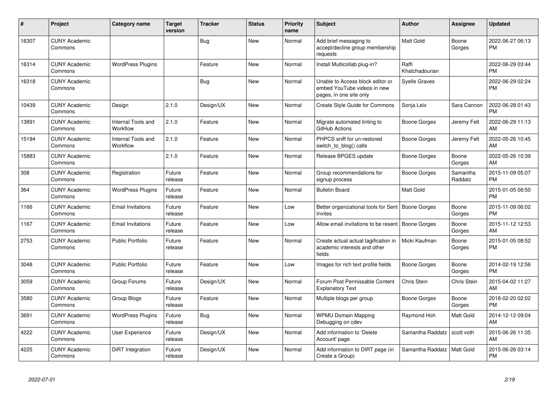| #     | Project                         | <b>Category name</b>           | <b>Target</b><br>version | <b>Tracker</b> | <b>Status</b> | <b>Priority</b><br>name | <b>Subject</b>                                                                             | <b>Author</b>           | <b>Assignee</b>     | <b>Updated</b>                |
|-------|---------------------------------|--------------------------------|--------------------------|----------------|---------------|-------------------------|--------------------------------------------------------------------------------------------|-------------------------|---------------------|-------------------------------|
| 16307 | <b>CUNY Academic</b><br>Commons |                                |                          | <b>Bug</b>     | <b>New</b>    | Normal                  | Add brief messaging to<br>accept/decline group membership<br>requests                      | Matt Gold               | Boone<br>Gorges     | 2022-06-27 06:13<br><b>PM</b> |
| 16314 | <b>CUNY Academic</b><br>Commons | <b>WordPress Plugins</b>       |                          | Feature        | <b>New</b>    | Normal                  | Install Multicollab plug-in?                                                               | Raffi<br>Khatchadourian |                     | 2022-06-29 03:44<br><b>PM</b> |
| 16318 | <b>CUNY Academic</b><br>Commons |                                |                          | Bug            | New           | Normal                  | Unable to Access block editor or<br>embed YouTube videos in new<br>pages, in one site only | Syelle Graves           |                     | 2022-06-29 02:24<br><b>PM</b> |
| 10439 | <b>CUNY Academic</b><br>Commons | Design                         | 2.1.0                    | Design/UX      | <b>New</b>    | Normal                  | Create Style Guide for Commons                                                             | Sonja Leix              | Sara Cannon         | 2022-06-28 01:43<br><b>PM</b> |
| 13891 | <b>CUNY Academic</b><br>Commons | Internal Tools and<br>Workflow | 2.1.0                    | Feature        | <b>New</b>    | Normal                  | Migrate automated linting to<br>GitHub Actions                                             | Boone Gorges            | Jeremy Felt         | 2022-06-29 11:13<br>AM        |
| 15194 | <b>CUNY Academic</b><br>Commons | Internal Tools and<br>Workflow | 2.1.0                    | Feature        | <b>New</b>    | Normal                  | PHPCS sniff for un-restored<br>switch_to_blog() calls                                      | Boone Gorges            | Jeremy Felt         | 2022-05-26 10:45<br>AM        |
| 15883 | <b>CUNY Academic</b><br>Commons |                                | 2.1.0                    | Feature        | <b>New</b>    | Normal                  | Release BPGES update                                                                       | <b>Boone Gorges</b>     | Boone<br>Gorges     | 2022-05-26 10:39<br>AM        |
| 308   | <b>CUNY Academic</b><br>Commons | Registration                   | Future<br>release        | Feature        | <b>New</b>    | Normal                  | Group recommendations for<br>signup process                                                | Boone Gorges            | Samantha<br>Raddatz | 2015-11-09 05:07<br><b>PM</b> |
| 364   | <b>CUNY Academic</b><br>Commons | <b>WordPress Plugins</b>       | Future<br>release        | Feature        | <b>New</b>    | Normal                  | <b>Bulletin Board</b>                                                                      | Matt Gold               |                     | 2015-01-05 08:50<br><b>PM</b> |
| 1166  | <b>CUNY Academic</b><br>Commons | <b>Email Invitations</b>       | Future<br>release        | Feature        | <b>New</b>    | Low                     | Better organizational tools for Sent   Boone Gorges<br>Invites                             |                         | Boone<br>Gorges     | 2015-11-09 06:02<br><b>PM</b> |
| 1167  | <b>CUNY Academic</b><br>Commons | <b>Email Invitations</b>       | Future<br>release        | Feature        | <b>New</b>    | Low                     | Allow email invitations to be resent   Boone Gorges                                        |                         | Boone<br>Gorges     | 2015-11-12 12:53<br>AM        |
| 2753  | <b>CUNY Academic</b><br>Commons | Public Portfolio               | Future<br>release        | Feature        | <b>New</b>    | Normal                  | Create actual actual tagification in<br>academic interests and other<br>fields             | Micki Kaufman           | Boone<br>Gorges     | 2015-01-05 08:52<br><b>PM</b> |
| 3048  | <b>CUNY Academic</b><br>Commons | <b>Public Portfolio</b>        | Future<br>release        | Feature        | <b>New</b>    | Low                     | Images for rich text profile fields                                                        | Boone Gorges            | Boone<br>Gorges     | 2014-02-19 12:56<br><b>PM</b> |
| 3059  | <b>CUNY Academic</b><br>Commons | Group Forums                   | Future<br>release        | Design/UX      | <b>New</b>    | Normal                  | Forum Post Permissable Content<br><b>Explanatory Text</b>                                  | Chris Stein             | Chris Stein         | 2015-04-02 11:27<br>AM        |
| 3580  | <b>CUNY Academic</b><br>Commons | Group Blogs                    | Future<br>release        | Feature        | <b>New</b>    | Normal                  | Multiple blogs per group                                                                   | Boone Gorges            | Boone<br>Gorges     | 2018-02-20 02:02<br><b>PM</b> |
| 3691  | <b>CUNY Academic</b><br>Commons | <b>WordPress Plugins</b>       | Future<br>release        | Bug            | <b>New</b>    | Normal                  | <b>WPMU Domain Mapping</b><br>Debugging on cdev                                            | Raymond Hoh             | Matt Gold           | 2014-12-12 09:04<br>AM        |
| 4222  | <b>CUNY Academic</b><br>Commons | <b>User Experience</b>         | Future<br>release        | Design/UX      | <b>New</b>    | Normal                  | Add information to 'Delete<br>Account' page                                                | Samantha Raddatz        | scott voth          | 2015-06-26 11:35<br>AM        |
| 4225  | <b>CUNY Academic</b><br>Commons | DiRT Integration               | Future<br>release        | Design/UX      | <b>New</b>    | Normal                  | Add information to DIRT page (in<br>Create a Group)                                        | Samantha Raddatz        | <b>Matt Gold</b>    | 2015-06-26 03:14<br>PM        |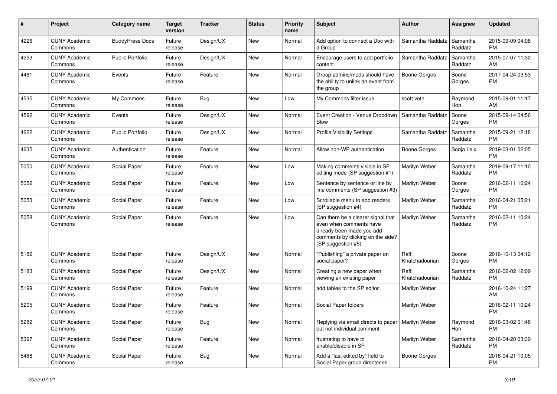| #    | Project                         | <b>Category name</b>    | <b>Target</b><br>version | <b>Tracker</b> | <b>Status</b> | Priority<br>name | <b>Subject</b>                                                                                                                                        | Author                  | <b>Assignee</b>     | <b>Updated</b>                |
|------|---------------------------------|-------------------------|--------------------------|----------------|---------------|------------------|-------------------------------------------------------------------------------------------------------------------------------------------------------|-------------------------|---------------------|-------------------------------|
| 4226 | <b>CUNY Academic</b><br>Commons | <b>BuddyPress Docs</b>  | Future<br>release        | Design/UX      | <b>New</b>    | Normal           | Add option to connect a Doc with<br>a Group                                                                                                           | Samantha Raddatz        | Samantha<br>Raddatz | 2015-09-09 04:08<br><b>PM</b> |
| 4253 | <b>CUNY Academic</b><br>Commons | <b>Public Portfolio</b> | Future<br>release        | Design/UX      | New           | Normal           | Encourage users to add portfolio<br>content                                                                                                           | Samantha Raddatz        | Samantha<br>Raddatz | 2015-07-07 11:32<br>AM        |
| 4481 | <b>CUNY Academic</b><br>Commons | Events                  | Future<br>release        | Feature        | <b>New</b>    | Normal           | Group admins/mods should have<br>the ability to unlink an event from<br>the group                                                                     | <b>Boone Gorges</b>     | Boone<br>Gorges     | 2017-04-24 03:53<br><b>PM</b> |
| 4535 | <b>CUNY Academic</b><br>Commons | My Commons              | Future<br>release        | Bug            | <b>New</b>    | Low              | My Commons filter issue                                                                                                                               | scott voth              | Raymond<br>Hoh      | 2015-09-01 11:17<br>AM        |
| 4592 | <b>CUNY Academic</b><br>Commons | Events                  | Future<br>release        | Design/UX      | <b>New</b>    | Normal           | Event Creation - Venue Dropdown<br>Slow                                                                                                               | Samantha Raddatz        | Boone<br>Gorges     | 2015-09-14 04:56<br><b>PM</b> |
| 4622 | <b>CUNY Academic</b><br>Commons | Public Portfolio        | Future<br>release        | Design/UX      | <b>New</b>    | Normal           | <b>Profile Visibility Settings</b>                                                                                                                    | Samantha Raddatz        | Samantha<br>Raddatz | 2015-09-21 12:18<br><b>PM</b> |
| 4635 | <b>CUNY Academic</b><br>Commons | Authentication          | Future<br>release        | Feature        | New           | Normal           | Allow non-WP authentication                                                                                                                           | <b>Boone Gorges</b>     | Sonja Leix          | 2019-03-01 02:05<br><b>PM</b> |
| 5050 | <b>CUNY Academic</b><br>Commons | Social Paper            | Future<br>release        | Feature        | <b>New</b>    | Low              | Making comments visible in SP<br>editing mode (SP suggestion #1)                                                                                      | Marilyn Weber           | Samantha<br>Raddatz | 2019-09-17 11:10<br><b>PM</b> |
| 5052 | <b>CUNY Academic</b><br>Commons | Social Paper            | Future<br>release        | Feature        | <b>New</b>    | Low              | Sentence by sentence or line by<br>line comments (SP suggestion #3)                                                                                   | Marilyn Weber           | Boone<br>Gorges     | 2016-02-11 10:24<br><b>PM</b> |
| 5053 | <b>CUNY Academic</b><br>Commons | Social Paper            | Future<br>release        | Feature        | New           | Low              | Scrollable menu to add readers<br>(SP suggestion #4)                                                                                                  | Marilyn Weber           | Samantha<br>Raddatz | 2016-04-21 05:21<br><b>PM</b> |
| 5058 | <b>CUNY Academic</b><br>Commons | Social Paper            | Future<br>release        | Feature        | <b>New</b>    | Low              | Can there be a clearer signal that<br>even when comments have<br>already been made you add<br>comments by clicking on the side?<br>(SP suggestion #5) | Marilyn Weber           | Samantha<br>Raddatz | 2016-02-11 10:24<br><b>PM</b> |
| 5182 | <b>CUNY Academic</b><br>Commons | Social Paper            | Future<br>release        | Design/UX      | <b>New</b>    | Normal           | "Publishing" a private paper on<br>social paper?                                                                                                      | Raffi<br>Khatchadourian | Boone<br>Gorges     | 2016-10-13 04:12<br><b>PM</b> |
| 5183 | <b>CUNY Academic</b><br>Commons | Social Paper            | Future<br>release        | Design/UX      | <b>New</b>    | Normal           | Creating a new paper when<br>viewing an existing paper                                                                                                | Raffi<br>Khatchadourian | Samantha<br>Raddatz | 2016-02-02 12:09<br><b>PM</b> |
| 5199 | <b>CUNY Academic</b><br>Commons | Social Paper            | Future<br>release        | Feature        | New           | Normal           | add tables to the SP editor                                                                                                                           | Marilyn Weber           |                     | 2016-10-24 11:27<br>AM        |
| 5205 | <b>CUNY Academic</b><br>Commons | Social Paper            | Future<br>release        | Feature        | <b>New</b>    | Normal           | Social Paper folders                                                                                                                                  | Marilyn Weber           |                     | 2016-02-11 10:24<br><b>PM</b> |
| 5282 | <b>CUNY Academic</b><br>Commons | Social Paper            | Future<br>release        | <b>Bug</b>     | New           | Normal           | Replying via email directs to paper<br>but not individual comment.                                                                                    | Marilyn Weber           | Raymond<br>Hoh      | 2016-03-02 01:48<br><b>PM</b> |
| 5397 | <b>CUNY Academic</b><br>Commons | Social Paper            | Future<br>release        | Feature        | New           | Normal           | frustrating to have to<br>enable/disable in SP                                                                                                        | Marilyn Weber           | Samantha<br>Raddatz | 2016-04-20 03:39<br><b>PM</b> |
| 5488 | <b>CUNY Academic</b><br>Commons | Social Paper            | Future<br>release        | <b>Bug</b>     | New           | Normal           | Add a "last edited by" field to<br>Social Paper group directories                                                                                     | Boone Gorges            |                     | 2016-04-21 10:05<br><b>PM</b> |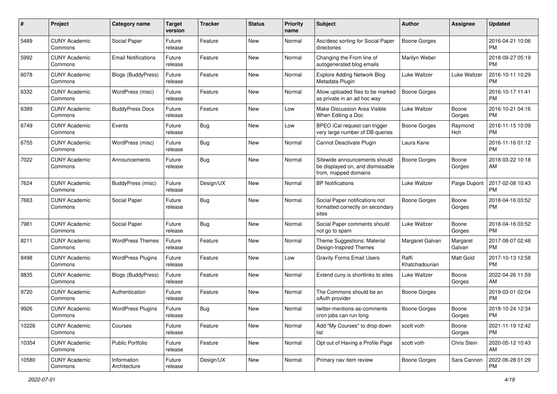| #     | Project                         | <b>Category name</b>        | <b>Target</b><br>version | <b>Tracker</b> | <b>Status</b> | <b>Priority</b><br>name | Subject                                                                                   | <b>Author</b>           | <b>Assignee</b>    | <b>Updated</b>                |
|-------|---------------------------------|-----------------------------|--------------------------|----------------|---------------|-------------------------|-------------------------------------------------------------------------------------------|-------------------------|--------------------|-------------------------------|
| 5489  | <b>CUNY Academic</b><br>Commons | Social Paper                | Future<br>release        | Feature        | <b>New</b>    | Normal                  | Asc/desc sorting for Social Paper<br>directories                                          | <b>Boone Gorges</b>     |                    | 2016-04-21 10:06<br><b>PM</b> |
| 5992  | <b>CUNY Academic</b><br>Commons | <b>Email Notifications</b>  | Future<br>release        | Feature        | New           | Normal                  | Changing the From line of<br>autogenerated blog emails                                    | Marilyn Weber           |                    | 2018-09-27 05:19<br><b>PM</b> |
| 6078  | <b>CUNY Academic</b><br>Commons | <b>Blogs (BuddyPress)</b>   | Future<br>release        | Feature        | New           | Normal                  | <b>Explore Adding Network Blog</b><br>Metadata Plugin                                     | Luke Waltzer            | Luke Waltzer       | 2016-10-11 10:29<br><b>PM</b> |
| 6332  | <b>CUNY Academic</b><br>Commons | WordPress (misc)            | Future<br>release        | Feature        | New           | Normal                  | Allow uploaded files to be marked<br>as private in an ad hoc way                          | Boone Gorges            |                    | 2016-10-17 11:41<br><b>PM</b> |
| 6389  | <b>CUNY Academic</b><br>Commons | <b>BuddyPress Docs</b>      | Future<br>release        | Feature        | New           | Low                     | Make Discussion Area Visible<br>When Editing a Doc                                        | Luke Waltzer            | Boone<br>Gorges    | 2016-10-21 04:16<br><b>PM</b> |
| 6749  | <b>CUNY Academic</b><br>Commons | Events                      | Future<br>release        | Bug            | New           | Low                     | BPEO iCal request can trigger<br>very large number of DB queries                          | <b>Boone Gorges</b>     | Raymond<br>Hoh     | 2016-11-15 10:09<br><b>PM</b> |
| 6755  | <b>CUNY Academic</b><br>Commons | WordPress (misc)            | Future<br>release        | Bug            | New           | Normal                  | Cannot Deactivate Plugin                                                                  | Laura Kane              |                    | 2016-11-16 01:12<br><b>PM</b> |
| 7022  | <b>CUNY Academic</b><br>Commons | Announcements               | Future<br>release        | Bug            | New           | Normal                  | Sitewide announcements should<br>be displayed on, and dismissable<br>from, mapped domains | Boone Gorges            | Boone<br>Gorges    | 2018-03-22 10:18<br>AM        |
| 7624  | <b>CUNY Academic</b><br>Commons | <b>BuddyPress</b> (misc)    | Future<br>release        | Design/UX      | <b>New</b>    | Normal                  | <b>BP</b> Notifications                                                                   | Luke Waltzer            | Paige Dupont       | 2017-02-08 10:43<br>PM.       |
| 7663  | <b>CUNY Academic</b><br>Commons | Social Paper                | Future<br>release        | Bug            | New           | Normal                  | Social Paper notifications not<br>formatted correctly on secondary<br>sites               | <b>Boone Gorges</b>     | Boone<br>Gorges    | 2018-04-16 03:52<br><b>PM</b> |
| 7981  | <b>CUNY Academic</b><br>Commons | Social Paper                | Future<br>release        | Bug            | New           | Normal                  | Social Paper comments should<br>not go to spam                                            | Luke Waltzer            | Boone<br>Gorges    | 2018-04-16 03:52<br><b>PM</b> |
| 8211  | <b>CUNY Academic</b><br>Commons | <b>WordPress Themes</b>     | Future<br>release        | Feature        | New           | Normal                  | Theme Suggestions: Material<br>Design-Inspired Themes                                     | Margaret Galvan         | Margaret<br>Galvan | 2017-08-07 02:48<br><b>PM</b> |
| 8498  | <b>CUNY Academic</b><br>Commons | <b>WordPress Plugins</b>    | Future<br>release        | Feature        | <b>New</b>    | Low                     | <b>Gravity Forms Email Users</b>                                                          | Raffi<br>Khatchadourian | Matt Gold          | 2017-10-13 12:58<br><b>PM</b> |
| 8835  | <b>CUNY Academic</b><br>Commons | Blogs (BuddyPress)          | Future<br>release        | Feature        | <b>New</b>    | Normal                  | Extend cuny.is shortlinks to sites                                                        | Luke Waltzer            | Boone<br>Gorges    | 2022-04-26 11:59<br>AM.       |
| 9720  | <b>CUNY Academic</b><br>Commons | Authentication              | Future<br>release        | Feature        | New           | Normal                  | The Commons should be an<br>oAuth provider                                                | Boone Gorges            |                    | 2019-03-01 02:04<br><b>PM</b> |
| 9926  | <b>CUNY Academic</b><br>Commons | <b>WordPress Plugins</b>    | Future<br>release        | Bug            | New           | Normal                  | twitter-mentions-as-comments<br>cron jobs can run long                                    | Boone Gorges            | Boone<br>Gorges    | 2018-10-24 12:34<br><b>PM</b> |
| 10226 | <b>CUNY Academic</b><br>Commons | Courses                     | Future<br>release        | Feature        | New           | Normal                  | Add "My Courses" to drop down<br>list                                                     | scott voth              | Boone<br>Gorges    | 2021-11-19 12:42<br>PM.       |
| 10354 | <b>CUNY Academic</b><br>Commons | <b>Public Portfolio</b>     | Future<br>release        | Feature        | New           | Normal                  | Opt out of Having a Profile Page                                                          | scott voth              | Chris Stein        | 2020-05-12 10:43<br>AM        |
| 10580 | <b>CUNY Academic</b><br>Commons | Information<br>Architecture | Future<br>release        | Design/UX      | New           | Normal                  | Primary nav item review                                                                   | Boone Gorges            | Sara Cannon        | 2022-06-28 01:29<br><b>PM</b> |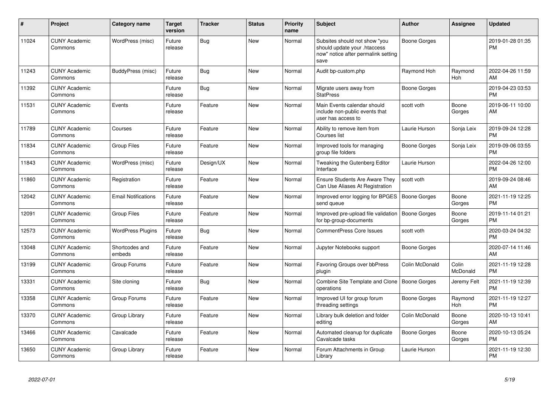| #     | Project                         | <b>Category name</b>       | <b>Target</b><br>version | <b>Tracker</b> | <b>Status</b> | <b>Priority</b><br>name | <b>Subject</b>                                                                                               | <b>Author</b>  | <b>Assignee</b>       | <b>Updated</b>                |
|-------|---------------------------------|----------------------------|--------------------------|----------------|---------------|-------------------------|--------------------------------------------------------------------------------------------------------------|----------------|-----------------------|-------------------------------|
| 11024 | <b>CUNY Academic</b><br>Commons | WordPress (misc)           | Future<br>release        | <b>Bug</b>     | <b>New</b>    | Normal                  | Subsites should not show "you<br>should update your .htaccess<br>now" notice after permalink setting<br>save | Boone Gorges   |                       | 2019-01-28 01:35<br><b>PM</b> |
| 11243 | <b>CUNY Academic</b><br>Commons | <b>BuddyPress (misc)</b>   | Future<br>release        | Bug            | <b>New</b>    | Normal                  | Audit bp-custom.php                                                                                          | Raymond Hoh    | Raymond<br>Hoh        | 2022-04-26 11:59<br>AM        |
| 11392 | <b>CUNY Academic</b><br>Commons |                            | Future<br>release        | <b>Bug</b>     | <b>New</b>    | Normal                  | Migrate users away from<br><b>StatPress</b>                                                                  | Boone Gorges   |                       | 2019-04-23 03:53<br><b>PM</b> |
| 11531 | <b>CUNY Academic</b><br>Commons | Events                     | Future<br>release        | Feature        | <b>New</b>    | Normal                  | Main Events calendar should<br>include non-public events that<br>user has access to                          | scott voth     | Boone<br>Gorges       | 2019-06-11 10:00<br>AM        |
| 11789 | <b>CUNY Academic</b><br>Commons | Courses                    | Future<br>release        | Feature        | New           | Normal                  | Ability to remove item from<br>Courses list                                                                  | Laurie Hurson  | Sonja Leix            | 2019-09-24 12:28<br><b>PM</b> |
| 11834 | <b>CUNY Academic</b><br>Commons | <b>Group Files</b>         | Future<br>release        | Feature        | <b>New</b>    | Normal                  | Improved tools for managing<br>group file folders                                                            | Boone Gorges   | Sonja Leix            | 2019-09-06 03:55<br><b>PM</b> |
| 11843 | <b>CUNY Academic</b><br>Commons | WordPress (misc)           | Future<br>release        | Design/UX      | New           | Normal                  | Tweaking the Gutenberg Editor<br>Interface                                                                   | Laurie Hurson  |                       | 2022-04-26 12:00<br><b>PM</b> |
| 11860 | <b>CUNY Academic</b><br>Commons | Registration               | Future<br>release        | Feature        | <b>New</b>    | Normal                  | <b>Ensure Students Are Aware They</b><br>Can Use Aliases At Registration                                     | scott voth     |                       | 2019-09-24 08:46<br>AM        |
| 12042 | <b>CUNY Academic</b><br>Commons | <b>Email Notifications</b> | Future<br>release        | Feature        | <b>New</b>    | Normal                  | Improved error logging for BPGES<br>send queue                                                               | Boone Gorges   | Boone<br>Gorges       | 2021-11-19 12:25<br><b>PM</b> |
| 12091 | <b>CUNY Academic</b><br>Commons | <b>Group Files</b>         | Future<br>release        | Feature        | <b>New</b>    | Normal                  | Improved pre-upload file validation<br>for bp-group-documents                                                | Boone Gorges   | Boone<br>Gorges       | 2019-11-14 01:21<br><b>PM</b> |
| 12573 | <b>CUNY Academic</b><br>Commons | <b>WordPress Plugins</b>   | Future<br>release        | Bug            | <b>New</b>    | Normal                  | <b>CommentPress Core Issues</b>                                                                              | scott voth     |                       | 2020-03-24 04:32<br><b>PM</b> |
| 13048 | <b>CUNY Academic</b><br>Commons | Shortcodes and<br>embeds   | Future<br>release        | Feature        | <b>New</b>    | Normal                  | Jupyter Notebooks support                                                                                    | Boone Gorges   |                       | 2020-07-14 11:46<br>AM        |
| 13199 | <b>CUNY Academic</b><br>Commons | Group Forums               | Future<br>release        | Feature        | <b>New</b>    | Normal                  | Favoring Groups over bbPress<br>plugin                                                                       | Colin McDonald | Colin<br>McDonald     | 2021-11-19 12:28<br><b>PM</b> |
| 13331 | <b>CUNY Academic</b><br>Commons | Site cloning               | Future<br>release        | Bug            | New           | Normal                  | Combine Site Template and Clone   Boone Gorges<br>operations                                                 |                | Jeremy Felt           | 2021-11-19 12:39<br><b>PM</b> |
| 13358 | <b>CUNY Academic</b><br>Commons | Group Forums               | Future<br>release        | Feature        | <b>New</b>    | Normal                  | Improved UI for group forum<br>threading settings                                                            | Boone Gorges   | Raymond<br><b>Hoh</b> | 2021-11-19 12:27<br><b>PM</b> |
| 13370 | <b>CUNY Academic</b><br>Commons | Group Library              | Future<br>release        | Feature        | <b>New</b>    | Normal                  | Library bulk deletion and folder<br>editing                                                                  | Colin McDonald | Boone<br>Gorges       | 2020-10-13 10:41<br>AM        |
| 13466 | <b>CUNY Academic</b><br>Commons | Cavalcade                  | Future<br>release        | Feature        | <b>New</b>    | Normal                  | Automated cleanup for duplicate<br>Cavalcade tasks                                                           | Boone Gorges   | Boone<br>Gorges       | 2020-10-13 05:24<br><b>PM</b> |
| 13650 | <b>CUNY Academic</b><br>Commons | Group Library              | Future<br>release        | Feature        | <b>New</b>    | Normal                  | Forum Attachments in Group<br>Library                                                                        | Laurie Hurson  |                       | 2021-11-19 12:30<br><b>PM</b> |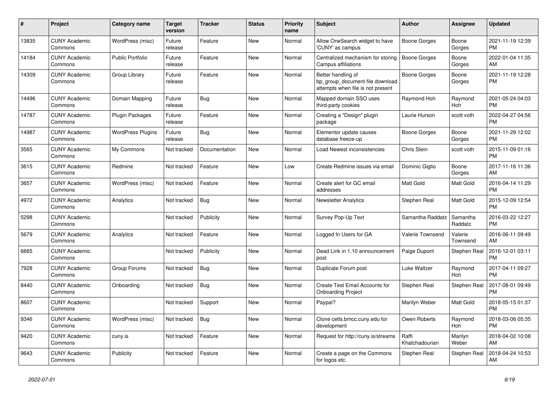| #     | Project                         | <b>Category name</b>     | <b>Target</b><br>version | <b>Tracker</b> | <b>Status</b> | <b>Priority</b><br>name | <b>Subject</b>                                                                             | <b>Author</b>           | <b>Assignee</b>     | <b>Updated</b>                |
|-------|---------------------------------|--------------------------|--------------------------|----------------|---------------|-------------------------|--------------------------------------------------------------------------------------------|-------------------------|---------------------|-------------------------------|
| 13835 | <b>CUNY Academic</b><br>Commons | WordPress (misc)         | Future<br>release        | Feature        | New           | Normal                  | Allow OneSearch widget to have<br>'CUNY' as campus                                         | Boone Gorges            | Boone<br>Gorges     | 2021-11-19 12:39<br><b>PM</b> |
| 14184 | <b>CUNY Academic</b><br>Commons | <b>Public Portfolio</b>  | Future<br>release        | Feature        | <b>New</b>    | Normal                  | Centralized mechanism for storing<br>Campus affiliations                                   | <b>Boone Gorges</b>     | Boone<br>Gorges     | 2022-01-04 11:35<br>AM        |
| 14309 | <b>CUNY Academic</b><br>Commons | Group Library            | Future<br>release        | Feature        | <b>New</b>    | Normal                  | Better handling of<br>bp_group_document file download<br>attempts when file is not present | Boone Gorges            | Boone<br>Gorges     | 2021-11-19 12:28<br><b>PM</b> |
| 14496 | <b>CUNY Academic</b><br>Commons | Domain Mapping           | Future<br>release        | Bug            | New           | Normal                  | Mapped domain SSO uses<br>third-party cookies                                              | Raymond Hoh             | Raymond<br>Hoh      | 2021-05-24 04:03<br><b>PM</b> |
| 14787 | <b>CUNY Academic</b><br>Commons | <b>Plugin Packages</b>   | Future<br>release        | Feature        | <b>New</b>    | Normal                  | Creating a "Design" plugin<br>package                                                      | Laurie Hurson           | scott voth          | 2022-04-27 04:56<br><b>PM</b> |
| 14987 | <b>CUNY Academic</b><br>Commons | <b>WordPress Plugins</b> | Future<br>release        | Bug            | <b>New</b>    | Normal                  | Elementor update causes<br>database freeze-up                                              | Boone Gorges            | Boone<br>Gorges     | 2021-11-29 12:02<br><b>PM</b> |
| 3565  | <b>CUNY Academic</b><br>Commons | My Commons               | Not tracked              | Documentation  | <b>New</b>    | Normal                  | Load Newest inconsistencies                                                                | Chris Stein             | scott voth          | 2015-11-09 01:16<br><b>PM</b> |
| 3615  | <b>CUNY Academic</b><br>Commons | Redmine                  | Not tracked              | Feature        | New           | Low                     | Create Redmine issues via email                                                            | Dominic Giglio          | Boone<br>Gorges     | 2017-11-16 11:36<br>AM        |
| 3657  | <b>CUNY Academic</b><br>Commons | WordPress (misc)         | Not tracked              | Feature        | <b>New</b>    | Normal                  | Create alert for GC email<br>addresses                                                     | Matt Gold               | Matt Gold           | 2016-04-14 11:29<br><b>PM</b> |
| 4972  | <b>CUNY Academic</b><br>Commons | Analytics                | Not tracked              | <b>Bug</b>     | <b>New</b>    | Normal                  | <b>Newsletter Analytics</b>                                                                | Stephen Real            | Matt Gold           | 2015-12-09 12:54<br><b>PM</b> |
| 5298  | <b>CUNY Academic</b><br>Commons |                          | Not tracked              | Publicity      | New           | Normal                  | Survey Pop-Up Text                                                                         | Samantha Raddatz        | Samantha<br>Raddatz | 2016-03-22 12:27<br><b>PM</b> |
| 5679  | <b>CUNY Academic</b><br>Commons | Analytics                | Not tracked              | Feature        | <b>New</b>    | Normal                  | Logged In Users for GA                                                                     | <b>Valerie Townsend</b> | Valerie<br>Townsend | 2016-06-11 09:49<br>AM        |
| 6665  | <b>CUNY Academic</b><br>Commons |                          | Not tracked              | Publicity      | <b>New</b>    | Normal                  | Dead Link in 1.10 announcement<br>post                                                     | Paige Dupont            | Stephen Real        | 2016-12-01 03:11<br><b>PM</b> |
| 7928  | <b>CUNY Academic</b><br>Commons | Group Forums             | Not tracked              | <b>Bug</b>     | New           | Normal                  | Duplicate Forum post                                                                       | Luke Waltzer            | Raymond<br>Hoh      | 2017-04-11 09:27<br><b>PM</b> |
| 8440  | <b>CUNY Academic</b><br>Commons | Onboarding               | Not tracked              | Bug            | New           | Normal                  | Create Test Email Accounts for<br><b>Onboarding Project</b>                                | Stephen Real            | Stephen Real        | 2017-08-01 09:49<br><b>PM</b> |
| 8607  | <b>CUNY Academic</b><br>Commons |                          | Not tracked              | Support        | New           | Normal                  | Paypal?                                                                                    | Marilyn Weber           | Matt Gold           | 2018-05-15 01:37<br><b>PM</b> |
| 9346  | <b>CUNY Academic</b><br>Commons | WordPress (misc)         | Not tracked              | Bug            | <b>New</b>    | Normal                  | Clone cetls.bmcc.cuny.edu for<br>development                                               | Owen Roberts            | Raymond<br>Hoh      | 2018-03-06 05:35<br><b>PM</b> |
| 9420  | <b>CUNY Academic</b><br>Commons | cuny.is                  | Not tracked              | Feature        | New           | Normal                  | Request for http://cuny.is/streams                                                         | Raffi<br>Khatchadourian | Marilyn<br>Weber    | 2018-04-02 10:08<br>AM        |
| 9643  | <b>CUNY Academic</b><br>Commons | Publicity                | Not tracked              | Feature        | <b>New</b>    | Normal                  | Create a page on the Commons<br>for logos etc.                                             | Stephen Real            | Stephen Real        | 2018-04-24 10:53<br>AM        |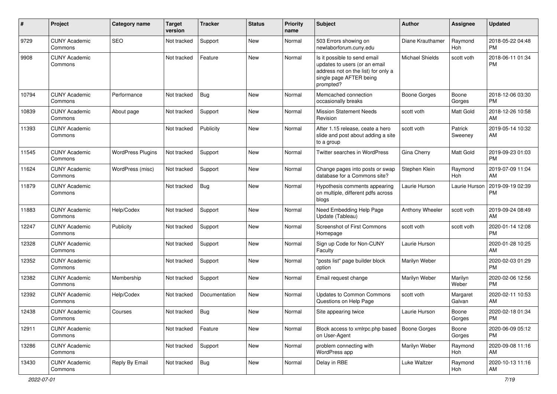| #     | Project                         | Category name            | <b>Target</b><br>version | <b>Tracker</b> | <b>Status</b> | <b>Priority</b><br>name | Subject                                                                                                                                      | Author                 | <b>Assignee</b>    | <b>Updated</b>                |
|-------|---------------------------------|--------------------------|--------------------------|----------------|---------------|-------------------------|----------------------------------------------------------------------------------------------------------------------------------------------|------------------------|--------------------|-------------------------------|
| 9729  | <b>CUNY Academic</b><br>Commons | <b>SEO</b>               | Not tracked              | Support        | <b>New</b>    | Normal                  | 503 Errors showing on<br>newlaborforum.cuny.edu                                                                                              | Diane Krauthamer       | Raymond<br>Hoh     | 2018-05-22 04:48<br><b>PM</b> |
| 9908  | <b>CUNY Academic</b><br>Commons |                          | Not tracked              | Feature        | New           | Normal                  | Is it possible to send email<br>updates to users (or an email<br>address not on the list) for only a<br>single page AFTER being<br>prompted? | <b>Michael Shields</b> | scott voth         | 2018-06-11 01:34<br><b>PM</b> |
| 10794 | <b>CUNY Academic</b><br>Commons | Performance              | Not tracked              | <b>Bug</b>     | <b>New</b>    | Normal                  | Memcached connection<br>occasionally breaks                                                                                                  | <b>Boone Gorges</b>    | Boone<br>Gorges    | 2018-12-06 03:30<br><b>PM</b> |
| 10839 | <b>CUNY Academic</b><br>Commons | About page               | Not tracked              | Support        | <b>New</b>    | Normal                  | <b>Mission Statement Needs</b><br>Revision                                                                                                   | scott voth             | Matt Gold          | 2018-12-26 10:58<br>AM        |
| 11393 | <b>CUNY Academic</b><br>Commons |                          | Not tracked              | Publicity      | New           | Normal                  | After 1.15 release, ceate a hero<br>slide and post about adding a site<br>to a group                                                         | scott voth             | Patrick<br>Sweeney | 2019-05-14 10:32<br>AM        |
| 11545 | <b>CUNY Academic</b><br>Commons | <b>WordPress Plugins</b> | Not tracked              | Support        | New           | Normal                  | Twitter searches in WordPress                                                                                                                | Gina Cherry            | Matt Gold          | 2019-09-23 01:03<br><b>PM</b> |
| 11624 | <b>CUNY Academic</b><br>Commons | WordPress (misc)         | Not tracked              | Support        | New           | Normal                  | Change pages into posts or swap<br>database for a Commons site?                                                                              | Stephen Klein          | Raymond<br>Hoh     | 2019-07-09 11:04<br>AM        |
| 11879 | <b>CUNY Academic</b><br>Commons |                          | Not tracked              | <b>Bug</b>     | <b>New</b>    | Normal                  | Hypothesis comments appearing<br>on multiple, different pdfs across<br>blogs                                                                 | Laurie Hurson          | Laurie Hurson      | 2019-09-19 02:39<br><b>PM</b> |
| 11883 | <b>CUNY Academic</b><br>Commons | Help/Codex               | Not tracked              | Support        | <b>New</b>    | Normal                  | Need Embedding Help Page<br>Update (Tableau)                                                                                                 | Anthony Wheeler        | scott voth         | 2019-09-24 08:49<br>AM        |
| 12247 | <b>CUNY Academic</b><br>Commons | Publicity                | Not tracked              | Support        | <b>New</b>    | Normal                  | <b>Screenshot of First Commons</b><br>Homepage                                                                                               | scott voth             | scott voth         | 2020-01-14 12:08<br><b>PM</b> |
| 12328 | <b>CUNY Academic</b><br>Commons |                          | Not tracked              | Support        | New           | Normal                  | Sign up Code for Non-CUNY<br>Faculty                                                                                                         | Laurie Hurson          |                    | 2020-01-28 10:25<br>AM        |
| 12352 | <b>CUNY Academic</b><br>Commons |                          | Not tracked              | Support        | New           | Normal                  | "posts list" page builder block<br>option                                                                                                    | Marilyn Weber          |                    | 2020-02-03 01:29<br><b>PM</b> |
| 12382 | <b>CUNY Academic</b><br>Commons | Membership               | Not tracked              | Support        | <b>New</b>    | Normal                  | Email request change                                                                                                                         | Marilyn Weber          | Marilyn<br>Weber   | 2020-02-06 12:56<br><b>PM</b> |
| 12392 | <b>CUNY Academic</b><br>Commons | Help/Codex               | Not tracked              | Documentation  | New           | Normal                  | <b>Updates to Common Commons</b><br>Questions on Help Page                                                                                   | scott voth             | Margaret<br>Galvan | 2020-02-11 10:53<br>AM        |
| 12438 | <b>CUNY Academic</b><br>Commons | Courses                  | Not tracked              | <b>Bug</b>     | New           | Normal                  | Site appearing twice                                                                                                                         | Laurie Hurson          | Boone<br>Gorges    | 2020-02-18 01:34<br><b>PM</b> |
| 12911 | <b>CUNY Academic</b><br>Commons |                          | Not tracked              | Feature        | <b>New</b>    | Normal                  | Block access to xmlrpc.php based<br>on User-Agent                                                                                            | <b>Boone Gorges</b>    | Boone<br>Gorges    | 2020-06-09 05:12<br><b>PM</b> |
| 13286 | <b>CUNY Academic</b><br>Commons |                          | Not tracked              | Support        | New           | Normal                  | problem connecting with<br>WordPress app                                                                                                     | Marilyn Weber          | Raymond<br>Hoh     | 2020-09-08 11:16<br>AM        |
| 13430 | <b>CUNY Academic</b><br>Commons | Reply By Email           | Not tracked              | <b>Bug</b>     | <b>New</b>    | Normal                  | Delay in RBE                                                                                                                                 | Luke Waltzer           | Raymond<br>Hoh     | 2020-10-13 11:16<br>AM        |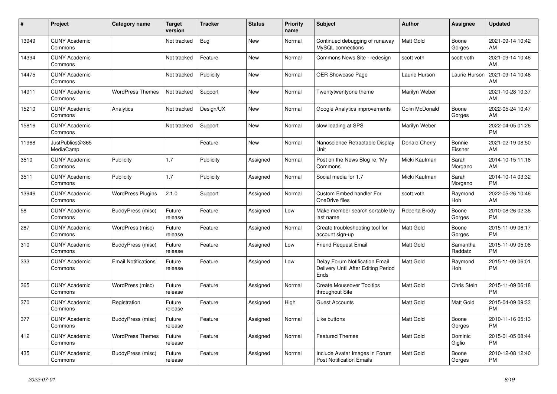| #     | Project                         | <b>Category name</b>       | <b>Target</b><br>version | <b>Tracker</b> | <b>Status</b> | <b>Priority</b><br>name | <b>Subject</b>                                                                | <b>Author</b>    | <b>Assignee</b>     | <b>Updated</b>                |
|-------|---------------------------------|----------------------------|--------------------------|----------------|---------------|-------------------------|-------------------------------------------------------------------------------|------------------|---------------------|-------------------------------|
| 13949 | <b>CUNY Academic</b><br>Commons |                            | Not tracked              | Bug            | New           | Normal                  | Continued debugging of runaway<br>MySQL connections                           | <b>Matt Gold</b> | Boone<br>Gorges     | 2021-09-14 10:42<br>AM        |
| 14394 | <b>CUNY Academic</b><br>Commons |                            | Not tracked              | Feature        | <b>New</b>    | Normal                  | Commons News Site - redesign                                                  | scott voth       | scott voth          | 2021-09-14 10:46<br>AM        |
| 14475 | <b>CUNY Academic</b><br>Commons |                            | Not tracked              | Publicity      | <b>New</b>    | Normal                  | OER Showcase Page                                                             | Laurie Hurson    | Laurie Hurson       | 2021-09-14 10:46<br>AM        |
| 14911 | <b>CUNY Academic</b><br>Commons | <b>WordPress Themes</b>    | Not tracked              | Support        | <b>New</b>    | Normal                  | Twentytwentyone theme                                                         | Marilyn Weber    |                     | 2021-10-28 10:37<br>AM        |
| 15210 | <b>CUNY Academic</b><br>Commons | Analytics                  | Not tracked              | Design/UX      | <b>New</b>    | Normal                  | Google Analytics improvements                                                 | Colin McDonald   | Boone<br>Gorges     | 2022-05-24 10:47<br>AM        |
| 15816 | <b>CUNY Academic</b><br>Commons |                            | Not tracked              | Support        | <b>New</b>    | Normal                  | slow loading at SPS                                                           | Marilyn Weber    |                     | 2022-04-05 01:26<br><b>PM</b> |
| 11968 | JustPublics@365<br>MediaCamp    |                            |                          | Feature        | <b>New</b>    | Normal                  | Nanoscience Retractable Display<br>Unit                                       | Donald Cherry    | Bonnie<br>Eissner   | 2021-02-19 08:50<br>AM        |
| 3510  | <b>CUNY Academic</b><br>Commons | Publicity                  | 1.7                      | Publicity      | Assigned      | Normal                  | Post on the News Blog re: 'My<br>Commons'                                     | Micki Kaufman    | Sarah<br>Morgano    | 2014-10-15 11:18<br>AM        |
| 3511  | <b>CUNY Academic</b><br>Commons | Publicity                  | 1.7                      | Publicity      | Assigned      | Normal                  | Social media for 1.7                                                          | Micki Kaufman    | Sarah<br>Morgano    | 2014-10-14 03:32<br><b>PM</b> |
| 13946 | <b>CUNY Academic</b><br>Commons | <b>WordPress Plugins</b>   | 2.1.0                    | Support        | Assigned      | Normal                  | Custom Embed handler For<br>OneDrive files                                    | scott voth       | Raymond<br>Hoh      | 2022-05-26 10:46<br>AM        |
| 58    | <b>CUNY Academic</b><br>Commons | BuddyPress (misc)          | Future<br>release        | Feature        | Assigned      | Low                     | Make member search sortable by<br>last name                                   | Roberta Brody    | Boone<br>Gorges     | 2010-08-26 02:38<br><b>PM</b> |
| 287   | <b>CUNY Academic</b><br>Commons | WordPress (misc)           | Future<br>release        | Feature        | Assigned      | Normal                  | Create troubleshooting tool for<br>account sign-up                            | <b>Matt Gold</b> | Boone<br>Gorges     | 2015-11-09 06:17<br><b>PM</b> |
| 310   | <b>CUNY Academic</b><br>Commons | BuddyPress (misc)          | Future<br>release        | Feature        | Assigned      | Low                     | <b>Friend Request Email</b>                                                   | <b>Matt Gold</b> | Samantha<br>Raddatz | 2015-11-09 05:08<br><b>PM</b> |
| 333   | <b>CUNY Academic</b><br>Commons | <b>Email Notifications</b> | Future<br>release        | Feature        | Assigned      | Low                     | Delay Forum Notification Email<br>Delivery Until After Editing Period<br>Ends | <b>Matt Gold</b> | Raymond<br>Hoh      | 2015-11-09 06:01<br><b>PM</b> |
| 365   | <b>CUNY Academic</b><br>Commons | WordPress (misc)           | Future<br>release        | Feature        | Assigned      | Normal                  | <b>Create Mouseover Tooltips</b><br>throughout Site                           | <b>Matt Gold</b> | Chris Stein         | 2015-11-09 06:18<br><b>PM</b> |
| 370   | <b>CUNY Academic</b><br>Commons | Registration               | Future<br>release        | Feature        | Assigned      | High                    | <b>Guest Accounts</b>                                                         | <b>Matt Gold</b> | Matt Gold           | 2015-04-09 09:33<br><b>PM</b> |
| 377   | <b>CUNY Academic</b><br>Commons | BuddyPress (misc)          | Future<br>release        | Feature        | Assigned      | Normal                  | Like buttons                                                                  | <b>Matt Gold</b> | Boone<br>Gorges     | 2010-11-16 05:13<br><b>PM</b> |
| 412   | <b>CUNY Academic</b><br>Commons | <b>WordPress Themes</b>    | Future<br>release        | Feature        | Assigned      | Normal                  | <b>Featured Themes</b>                                                        | <b>Matt Gold</b> | Dominic<br>Giglio   | 2015-01-05 08:44<br><b>PM</b> |
| 435   | <b>CUNY Academic</b><br>Commons | BuddyPress (misc)          | Future<br>release        | Feature        | Assigned      | Normal                  | Include Avatar Images in Forum<br><b>Post Notification Emails</b>             | <b>Matt Gold</b> | Boone<br>Gorges     | 2010-12-08 12:40<br><b>PM</b> |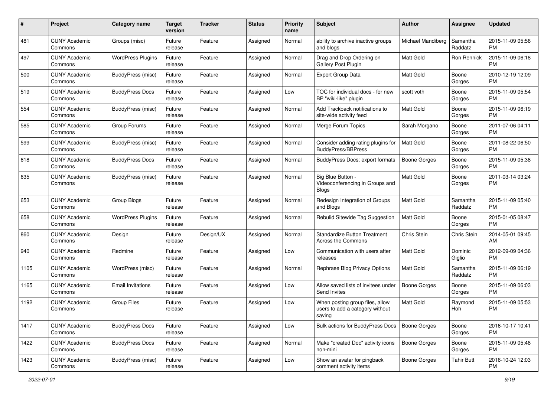| #    | Project                         | <b>Category name</b>     | <b>Target</b><br>version | <b>Tracker</b> | <b>Status</b> | <b>Priority</b><br>name | <b>Subject</b>                                                               | Author              | <b>Assignee</b>     | <b>Updated</b>                |
|------|---------------------------------|--------------------------|--------------------------|----------------|---------------|-------------------------|------------------------------------------------------------------------------|---------------------|---------------------|-------------------------------|
| 481  | <b>CUNY Academic</b><br>Commons | Groups (misc)            | Future<br>release        | Feature        | Assigned      | Normal                  | ability to archive inactive groups<br>and blogs                              | Michael Mandiberg   | Samantha<br>Raddatz | 2015-11-09 05:56<br>PM        |
| 497  | <b>CUNY Academic</b><br>Commons | <b>WordPress Plugins</b> | Future<br>release        | Feature        | Assigned      | Normal                  | Drag and Drop Ordering on<br>Gallery Post Plugin                             | <b>Matt Gold</b>    | Ron Rennick         | 2015-11-09 06:18<br><b>PM</b> |
| 500  | <b>CUNY Academic</b><br>Commons | <b>BuddyPress (misc)</b> | Future<br>release        | Feature        | Assigned      | Normal                  | Export Group Data                                                            | Matt Gold           | Boone<br>Gorges     | 2010-12-19 12:09<br><b>PM</b> |
| 519  | <b>CUNY Academic</b><br>Commons | <b>BuddyPress Docs</b>   | Future<br>release        | Feature        | Assigned      | Low                     | TOC for individual docs - for new<br>BP "wiki-like" plugin                   | scott voth          | Boone<br>Gorges     | 2015-11-09 05:54<br><b>PM</b> |
| 554  | <b>CUNY Academic</b><br>Commons | BuddyPress (misc)        | Future<br>release        | Feature        | Assigned      | Normal                  | Add Trackback notifications to<br>site-wide activity feed                    | <b>Matt Gold</b>    | Boone<br>Gorges     | 2015-11-09 06:19<br><b>PM</b> |
| 585  | <b>CUNY Academic</b><br>Commons | Group Forums             | Future<br>release        | Feature        | Assigned      | Normal                  | Merge Forum Topics                                                           | Sarah Morgano       | Boone<br>Gorges     | 2011-07-06 04:11<br><b>PM</b> |
| 599  | <b>CUNY Academic</b><br>Commons | BuddyPress (misc)        | Future<br>release        | Feature        | Assigned      | Normal                  | Consider adding rating plugins for<br><b>BuddyPress/BBPress</b>              | <b>Matt Gold</b>    | Boone<br>Gorges     | 2011-08-22 06:50<br><b>PM</b> |
| 618  | <b>CUNY Academic</b><br>Commons | <b>BuddyPress Docs</b>   | Future<br>release        | Feature        | Assigned      | Normal                  | BuddyPress Docs: export formats                                              | <b>Boone Gorges</b> | Boone<br>Gorges     | 2015-11-09 05:38<br><b>PM</b> |
| 635  | <b>CUNY Academic</b><br>Commons | BuddyPress (misc)        | Future<br>release        | Feature        | Assigned      | Normal                  | Big Blue Button -<br>Videoconferencing in Groups and<br><b>Blogs</b>         | <b>Matt Gold</b>    | Boone<br>Gorges     | 2011-03-14 03:24<br><b>PM</b> |
| 653  | <b>CUNY Academic</b><br>Commons | Group Blogs              | Future<br>release        | Feature        | Assigned      | Normal                  | Redesign Integration of Groups<br>and Blogs                                  | <b>Matt Gold</b>    | Samantha<br>Raddatz | 2015-11-09 05:40<br><b>PM</b> |
| 658  | <b>CUNY Academic</b><br>Commons | <b>WordPress Plugins</b> | Future<br>release        | Feature        | Assigned      | Normal                  | Rebulid Sitewide Tag Suggestion                                              | Matt Gold           | Boone<br>Gorges     | 2015-01-05 08:47<br><b>PM</b> |
| 860  | CUNY Academic<br>Commons        | Design                   | Future<br>release        | Design/UX      | Assigned      | Normal                  | <b>Standardize Button Treatment</b><br>Across the Commons                    | Chris Stein         | <b>Chris Stein</b>  | 2014-05-01 09:45<br>AM        |
| 940  | <b>CUNY Academic</b><br>Commons | Redmine                  | Future<br>release        | Feature        | Assigned      | Low                     | Communication with users after<br>releases                                   | Matt Gold           | Dominic<br>Giglio   | 2012-09-09 04:36<br><b>PM</b> |
| 1105 | <b>CUNY Academic</b><br>Commons | WordPress (misc)         | Future<br>release        | Feature        | Assigned      | Normal                  | Rephrase Blog Privacy Options                                                | Matt Gold           | Samantha<br>Raddatz | 2015-11-09 06:19<br><b>PM</b> |
| 1165 | <b>CUNY Academic</b><br>Commons | <b>Email Invitations</b> | Future<br>release        | Feature        | Assigned      | Low                     | Allow saved lists of invitees under<br>Send Invites                          | <b>Boone Gorges</b> | Boone<br>Gorges     | 2015-11-09 06:03<br><b>PM</b> |
| 1192 | <b>CUNY Academic</b><br>Commons | <b>Group Files</b>       | Future<br>release        | Feature        | Assigned      | Low                     | When posting group files, allow<br>users to add a category without<br>saving | <b>Matt Gold</b>    | Raymond<br>Hoh      | 2015-11-09 05:53<br><b>PM</b> |
| 1417 | <b>CUNY Academic</b><br>Commons | <b>BuddyPress Docs</b>   | Future<br>release        | Feature        | Assigned      | Low                     | <b>Bulk actions for BuddyPress Docs</b>                                      | Boone Gorges        | Boone<br>Gorges     | 2016-10-17 10:41<br><b>PM</b> |
| 1422 | <b>CUNY Academic</b><br>Commons | <b>BuddyPress Docs</b>   | Future<br>release        | Feature        | Assigned      | Normal                  | Make "created Doc" activity icons<br>non-mini                                | <b>Boone Gorges</b> | Boone<br>Gorges     | 2015-11-09 05:48<br><b>PM</b> |
| 1423 | <b>CUNY Academic</b><br>Commons | <b>BuddyPress (misc)</b> | Future<br>release        | Feature        | Assigned      | Low                     | Show an avatar for pingback<br>comment activity items                        | Boone Gorges        | <b>Tahir Butt</b>   | 2016-10-24 12:03<br>PM        |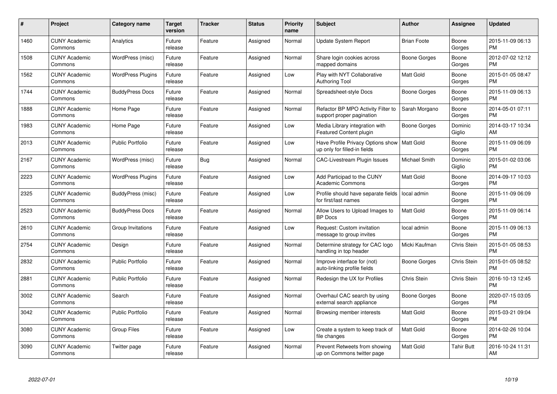| $\#$ | Project                         | <b>Category name</b>     | <b>Target</b><br>version | <b>Tracker</b> | <b>Status</b> | <b>Priority</b><br>name | <b>Subject</b>                                                    | <b>Author</b>       | Assignee           | <b>Updated</b>                |
|------|---------------------------------|--------------------------|--------------------------|----------------|---------------|-------------------------|-------------------------------------------------------------------|---------------------|--------------------|-------------------------------|
| 1460 | <b>CUNY Academic</b><br>Commons | Analytics                | Future<br>release        | Feature        | Assigned      | Normal                  | <b>Update System Report</b>                                       | <b>Brian Foote</b>  | Boone<br>Gorges    | 2015-11-09 06:13<br><b>PM</b> |
| 1508 | <b>CUNY Academic</b><br>Commons | WordPress (misc)         | Future<br>release        | Feature        | Assigned      | Normal                  | Share login cookies across<br>mapped domains                      | Boone Gorges        | Boone<br>Gorges    | 2012-07-02 12:12<br><b>PM</b> |
| 1562 | <b>CUNY Academic</b><br>Commons | <b>WordPress Plugins</b> | Future<br>release        | Feature        | Assigned      | Low                     | Play with NYT Collaborative<br><b>Authoring Tool</b>              | <b>Matt Gold</b>    | Boone<br>Gorges    | 2015-01-05 08:47<br><b>PM</b> |
| 1744 | <b>CUNY Academic</b><br>Commons | <b>BuddyPress Docs</b>   | Future<br>release        | Feature        | Assigned      | Normal                  | Spreadsheet-style Docs                                            | Boone Gorges        | Boone<br>Gorges    | 2015-11-09 06:13<br><b>PM</b> |
| 1888 | <b>CUNY Academic</b><br>Commons | Home Page                | Future<br>release        | Feature        | Assigned      | Normal                  | Refactor BP MPO Activity Filter to<br>support proper pagination   | Sarah Morgano       | Boone<br>Gorges    | 2014-05-01 07:11<br><b>PM</b> |
| 1983 | <b>CUNY Academic</b><br>Commons | Home Page                | Future<br>release        | Feature        | Assigned      | Low                     | Media Library integration with<br>Featured Content plugin         | <b>Boone Gorges</b> | Dominic<br>Giglio  | 2014-03-17 10:34<br>AM        |
| 2013 | <b>CUNY Academic</b><br>Commons | <b>Public Portfolio</b>  | Future<br>release        | Feature        | Assigned      | Low                     | Have Profile Privacy Options show<br>up only for filled-in fields | <b>Matt Gold</b>    | Boone<br>Gorges    | 2015-11-09 06:09<br><b>PM</b> |
| 2167 | <b>CUNY Academic</b><br>Commons | WordPress (misc)         | Future<br>release        | <b>Bug</b>     | Assigned      | Normal                  | <b>CAC-Livestream Plugin Issues</b>                               | Michael Smith       | Dominic<br>Giglio  | 2015-01-02 03:06<br><b>PM</b> |
| 2223 | <b>CUNY Academic</b><br>Commons | <b>WordPress Plugins</b> | Future<br>release        | Feature        | Assigned      | Low                     | Add Participad to the CUNY<br><b>Academic Commons</b>             | <b>Matt Gold</b>    | Boone<br>Gorges    | 2014-09-17 10:03<br><b>PM</b> |
| 2325 | <b>CUNY Academic</b><br>Commons | BuddyPress (misc)        | Future<br>release        | Feature        | Assigned      | Low                     | Profile should have separate fields<br>for first/last names       | local admin         | Boone<br>Gorges    | 2015-11-09 06:09<br><b>PM</b> |
| 2523 | <b>CUNY Academic</b><br>Commons | <b>BuddyPress Docs</b>   | Future<br>release        | Feature        | Assigned      | Normal                  | Allow Users to Upload Images to<br><b>BP</b> Docs                 | <b>Matt Gold</b>    | Boone<br>Gorges    | 2015-11-09 06:14<br><b>PM</b> |
| 2610 | <b>CUNY Academic</b><br>Commons | Group Invitations        | Future<br>release        | Feature        | Assigned      | Low                     | Request: Custom invitation<br>message to group invites            | local admin         | Boone<br>Gorges    | 2015-11-09 06:13<br><b>PM</b> |
| 2754 | <b>CUNY Academic</b><br>Commons | Design                   | Future<br>release        | Feature        | Assigned      | Normal                  | Determine strategy for CAC logo<br>handling in top header         | Micki Kaufman       | <b>Chris Stein</b> | 2015-01-05 08:53<br><b>PM</b> |
| 2832 | <b>CUNY Academic</b><br>Commons | <b>Public Portfolio</b>  | Future<br>release        | Feature        | Assigned      | Normal                  | Improve interface for (not)<br>auto-linking profile fields        | Boone Gorges        | Chris Stein        | 2015-01-05 08:52<br><b>PM</b> |
| 2881 | <b>CUNY Academic</b><br>Commons | <b>Public Portfolio</b>  | Future<br>release        | Feature        | Assigned      | Normal                  | Redesign the UX for Profiles                                      | Chris Stein         | <b>Chris Stein</b> | 2016-10-13 12:45<br><b>PM</b> |
| 3002 | <b>CUNY Academic</b><br>Commons | Search                   | Future<br>release        | Feature        | Assigned      | Normal                  | Overhaul CAC search by using<br>external search appliance         | Boone Gorges        | Boone<br>Gorges    | 2020-07-15 03:05<br><b>PM</b> |
| 3042 | <b>CUNY Academic</b><br>Commons | <b>Public Portfolio</b>  | Future<br>release        | Feature        | Assigned      | Normal                  | Browsing member interests                                         | <b>Matt Gold</b>    | Boone<br>Gorges    | 2015-03-21 09:04<br><b>PM</b> |
| 3080 | <b>CUNY Academic</b><br>Commons | <b>Group Files</b>       | Future<br>release        | Feature        | Assigned      | Low                     | Create a system to keep track of<br>file changes                  | Matt Gold           | Boone<br>Gorges    | 2014-02-26 10:04<br><b>PM</b> |
| 3090 | CUNY Academic<br>Commons        | Twitter page             | Future<br>release        | Feature        | Assigned      | Normal                  | Prevent Retweets from showing<br>up on Commons twitter page       | Matt Gold           | Tahir Butt         | 2016-10-24 11:31<br>AM        |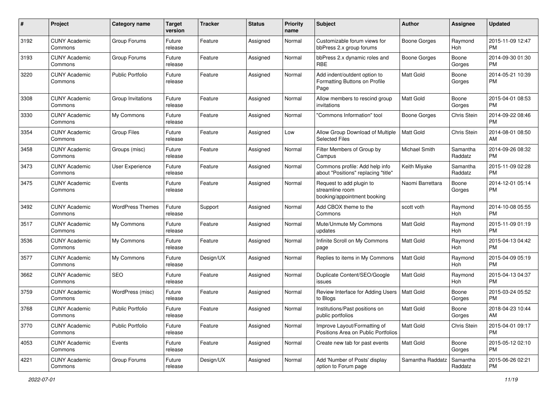| #    | Project                         | <b>Category name</b>    | <b>Target</b><br>version | <b>Tracker</b> | <b>Status</b> | <b>Priority</b><br>name | <b>Subject</b>                                                             | <b>Author</b>       | <b>Assignee</b>     | <b>Updated</b>                |
|------|---------------------------------|-------------------------|--------------------------|----------------|---------------|-------------------------|----------------------------------------------------------------------------|---------------------|---------------------|-------------------------------|
| 3192 | <b>CUNY Academic</b><br>Commons | Group Forums            | Future<br>release        | Feature        | Assigned      | Normal                  | Customizable forum views for<br>bbPress 2.x group forums                   | <b>Boone Gorges</b> | Raymond<br>Hoh      | 2015-11-09 12:47<br>PM.       |
| 3193 | <b>CUNY Academic</b><br>Commons | Group Forums            | Future<br>release        | Feature        | Assigned      | Normal                  | bbPress 2.x dynamic roles and<br><b>RBE</b>                                | <b>Boone Gorges</b> | Boone<br>Gorges     | 2014-09-30 01:30<br><b>PM</b> |
| 3220 | <b>CUNY Academic</b><br>Commons | <b>Public Portfolio</b> | Future<br>release        | Feature        | Assigned      | Normal                  | Add indent/outdent option to<br>Formatting Buttons on Profile<br>Page      | Matt Gold           | Boone<br>Gorges     | 2014-05-21 10:39<br><b>PM</b> |
| 3308 | <b>CUNY Academic</b><br>Commons | Group Invitations       | Future<br>release        | Feature        | Assigned      | Normal                  | Allow members to rescind group<br>invitations                              | Matt Gold           | Boone<br>Gorges     | 2015-04-01 08:53<br>PM.       |
| 3330 | <b>CUNY Academic</b><br>Commons | My Commons              | Future<br>release        | Feature        | Assigned      | Normal                  | 'Commons Information" tool                                                 | Boone Gorges        | Chris Stein         | 2014-09-22 08:46<br>PM.       |
| 3354 | <b>CUNY Academic</b><br>Commons | <b>Group Files</b>      | Future<br>release        | Feature        | Assigned      | Low                     | Allow Group Download of Multiple<br><b>Selected Files</b>                  | <b>Matt Gold</b>    | Chris Stein         | 2014-08-01 08:50<br>AM        |
| 3458 | <b>CUNY Academic</b><br>Commons | Groups (misc)           | Future<br>release        | Feature        | Assigned      | Normal                  | Filter Members of Group by<br>Campus                                       | Michael Smith       | Samantha<br>Raddatz | 2014-09-26 08:32<br><b>PM</b> |
| 3473 | <b>CUNY Academic</b><br>Commons | User Experience         | Future<br>release        | Feature        | Assigned      | Normal                  | Commons profile: Add help info<br>about "Positions" replacing "title"      | Keith Miyake        | Samantha<br>Raddatz | 2015-11-09 02:28<br><b>PM</b> |
| 3475 | <b>CUNY Academic</b><br>Commons | Events                  | Future<br>release        | Feature        | Assigned      | Normal                  | Request to add plugin to<br>streamline room<br>booking/appointment booking | Naomi Barrettara    | Boone<br>Gorges     | 2014-12-01 05:14<br>PM.       |
| 3492 | <b>CUNY Academic</b><br>Commons | <b>WordPress Themes</b> | Future<br>release        | Support        | Assigned      | Normal                  | Add CBOX theme to the<br>Commons                                           | scott voth          | Raymond<br>Hoh      | 2014-10-08 05:55<br>PM.       |
| 3517 | <b>CUNY Academic</b><br>Commons | My Commons              | Future<br>release        | Feature        | Assigned      | Normal                  | Mute/Unmute My Commons<br>updates                                          | <b>Matt Gold</b>    | Raymond<br>Hoh      | 2015-11-09 01:19<br><b>PM</b> |
| 3536 | <b>CUNY Academic</b><br>Commons | My Commons              | Future<br>release        | Feature        | Assigned      | Normal                  | Infinite Scroll on My Commons<br>page                                      | Matt Gold           | Raymond<br>Hoh      | 2015-04-13 04:42<br><b>PM</b> |
| 3577 | <b>CUNY Academic</b><br>Commons | My Commons              | Future<br>release        | Design/UX      | Assigned      | Normal                  | Replies to items in My Commons                                             | <b>Matt Gold</b>    | Raymond<br>Hoh      | 2015-04-09 05:19<br>PM.       |
| 3662 | <b>CUNY Academic</b><br>Commons | SEO                     | Future<br>release        | Feature        | Assigned      | Normal                  | Duplicate Content/SEO/Google<br>issues                                     | Matt Gold           | Raymond<br>Hoh      | 2015-04-13 04:37<br><b>PM</b> |
| 3759 | <b>CUNY Academic</b><br>Commons | WordPress (misc)        | Future<br>release        | Feature        | Assigned      | Normal                  | Review Interface for Adding Users<br>to Blogs                              | Matt Gold           | Boone<br>Gorges     | 2015-03-24 05:52<br><b>PM</b> |
| 3768 | <b>CUNY Academic</b><br>Commons | <b>Public Portfolio</b> | Future<br>release        | Feature        | Assigned      | Normal                  | Institutions/Past positions on<br>public portfolios                        | Matt Gold           | Boone<br>Gorges     | 2018-04-23 10:44<br>AM        |
| 3770 | <b>CUNY Academic</b><br>Commons | <b>Public Portfolio</b> | Future<br>release        | Feature        | Assigned      | Normal                  | Improve Layout/Formatting of<br>Positions Area on Public Portfolios        | Matt Gold           | Chris Stein         | 2015-04-01 09:17<br><b>PM</b> |
| 4053 | <b>CUNY Academic</b><br>Commons | Events                  | Future<br>release        | Feature        | Assigned      | Normal                  | Create new tab for past events                                             | Matt Gold           | Boone<br>Gorges     | 2015-05-12 02:10<br><b>PM</b> |
| 4221 | <b>CUNY Academic</b><br>Commons | Group Forums            | Future<br>release        | Design/UX      | Assigned      | Normal                  | Add 'Number of Posts' display<br>option to Forum page                      | Samantha Raddatz    | Samantha<br>Raddatz | 2015-06-26 02:21<br><b>PM</b> |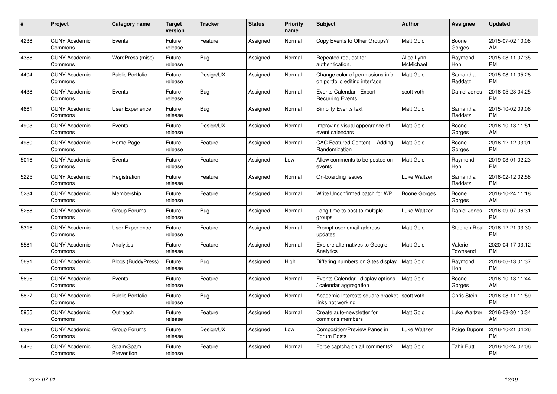| #    | Project                         | <b>Category name</b>      | <b>Target</b><br>version | <b>Tracker</b> | <b>Status</b> | <b>Priority</b><br>name | <b>Subject</b>                                                      | <b>Author</b>           | <b>Assignee</b>     | <b>Updated</b>                |
|------|---------------------------------|---------------------------|--------------------------|----------------|---------------|-------------------------|---------------------------------------------------------------------|-------------------------|---------------------|-------------------------------|
| 4238 | <b>CUNY Academic</b><br>Commons | Events                    | Future<br>release        | Feature        | Assigned      | Normal                  | Copy Events to Other Groups?                                        | <b>Matt Gold</b>        | Boone<br>Gorges     | 2015-07-02 10:08<br>AM        |
| 4388 | <b>CUNY Academic</b><br>Commons | WordPress (misc)          | Future<br>release        | Bug            | Assigned      | Normal                  | Repeated request for<br>authentication.                             | Alice.Lynn<br>McMichael | Raymond<br>Hoh      | 2015-08-11 07:35<br><b>PM</b> |
| 4404 | <b>CUNY Academic</b><br>Commons | <b>Public Portfolio</b>   | Future<br>release        | Design/UX      | Assigned      | Normal                  | Change color of permissions info<br>on portfolio editing interface  | <b>Matt Gold</b>        | Samantha<br>Raddatz | 2015-08-11 05:28<br><b>PM</b> |
| 4438 | <b>CUNY Academic</b><br>Commons | Events                    | Future<br>release        | Bug            | Assigned      | Normal                  | Events Calendar - Export<br><b>Recurring Events</b>                 | scott voth              | Daniel Jones        | 2016-05-23 04:25<br><b>PM</b> |
| 4661 | <b>CUNY Academic</b><br>Commons | User Experience           | Future<br>release        | <b>Bug</b>     | Assigned      | Normal                  | Simplify Events text                                                | <b>Matt Gold</b>        | Samantha<br>Raddatz | 2015-10-02 09:06<br><b>PM</b> |
| 4903 | <b>CUNY Academic</b><br>Commons | Events                    | Future<br>release        | Design/UX      | Assigned      | Normal                  | Improving visual appearance of<br>event calendars                   | <b>Matt Gold</b>        | Boone<br>Gorges     | 2016-10-13 11:51<br>AM        |
| 4980 | <b>CUNY Academic</b><br>Commons | Home Page                 | Future<br>release        | Feature        | Assigned      | Normal                  | CAC Featured Content -- Adding<br>Randomization                     | <b>Matt Gold</b>        | Boone<br>Gorges     | 2016-12-12 03:01<br><b>PM</b> |
| 5016 | <b>CUNY Academic</b><br>Commons | Events                    | Future<br>release        | Feature        | Assigned      | Low                     | Allow comments to be posted on<br>events                            | <b>Matt Gold</b>        | Raymond<br>Hoh      | 2019-03-01 02:23<br><b>PM</b> |
| 5225 | <b>CUNY Academic</b><br>Commons | Registration              | Future<br>release        | Feature        | Assigned      | Normal                  | On-boarding Issues                                                  | Luke Waltzer            | Samantha<br>Raddatz | 2016-02-12 02:58<br><b>PM</b> |
| 5234 | <b>CUNY Academic</b><br>Commons | Membership                | Future<br>release        | Feature        | Assigned      | Normal                  | Write Unconfirmed patch for WP                                      | Boone Gorges            | Boone<br>Gorges     | 2016-10-24 11:18<br>AM        |
| 5268 | <b>CUNY Academic</b><br>Commons | Group Forums              | Future<br>release        | Bug            | Assigned      | Normal                  | Long-time to post to multiple<br>groups                             | Luke Waltzer            | Daniel Jones        | 2016-09-07 06:31<br><b>PM</b> |
| 5316 | <b>CUNY Academic</b><br>Commons | <b>User Experience</b>    | Future<br>release        | Feature        | Assigned      | Normal                  | Prompt user email address<br>updates                                | <b>Matt Gold</b>        | Stephen Real        | 2016-12-21 03:30<br><b>PM</b> |
| 5581 | <b>CUNY Academic</b><br>Commons | Analytics                 | Future<br>release        | Feature        | Assigned      | Normal                  | Explore alternatives to Google<br>Analytics                         | <b>Matt Gold</b>        | Valerie<br>Townsend | 2020-04-17 03:12<br><b>PM</b> |
| 5691 | <b>CUNY Academic</b><br>Commons | <b>Blogs (BuddyPress)</b> | Future<br>release        | Bug            | Assigned      | High                    | Differing numbers on Sites display                                  | Matt Gold               | Raymond<br>Hoh      | 2016-06-13 01:37<br><b>PM</b> |
| 5696 | <b>CUNY Academic</b><br>Commons | Events                    | Future<br>release        | Feature        | Assigned      | Normal                  | Events Calendar - display options<br>/ calendar aggregation         | <b>Matt Gold</b>        | Boone<br>Gorges     | 2016-10-13 11:44<br>AM        |
| 5827 | <b>CUNY Academic</b><br>Commons | <b>Public Portfolio</b>   | Future<br>release        | Bug            | Assigned      | Normal                  | Academic Interests square bracket   scott voth<br>links not working |                         | Chris Stein         | 2016-08-11 11:59<br><b>PM</b> |
| 5955 | <b>CUNY Academic</b><br>Commons | Outreach                  | Future<br>release        | Feature        | Assigned      | Normal                  | Create auto-newsletter for<br>commons members                       | <b>Matt Gold</b>        | Luke Waltzer        | 2016-08-30 10:34<br>AM        |
| 6392 | <b>CUNY Academic</b><br>Commons | Group Forums              | Future<br>release        | Design/UX      | Assigned      | Low                     | Composition/Preview Panes in<br>Forum Posts                         | Luke Waltzer            | Paige Dupont        | 2016-10-21 04:26<br><b>PM</b> |
| 6426 | <b>CUNY Academic</b><br>Commons | Spam/Spam<br>Prevention   | Future<br>release        | Feature        | Assigned      | Normal                  | Force captcha on all comments?                                      | <b>Matt Gold</b>        | Tahir Butt          | 2016-10-24 02:06<br><b>PM</b> |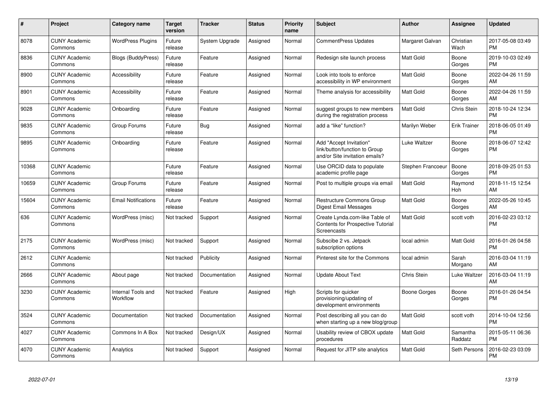| $\pmb{\#}$ | Project                         | <b>Category name</b>           | <b>Target</b><br>version | <b>Tracker</b> | <b>Status</b> | Priority<br>name | <b>Subject</b>                                                                             | <b>Author</b>     | Assignee            | <b>Updated</b>                |
|------------|---------------------------------|--------------------------------|--------------------------|----------------|---------------|------------------|--------------------------------------------------------------------------------------------|-------------------|---------------------|-------------------------------|
| 8078       | <b>CUNY Academic</b><br>Commons | <b>WordPress Plugins</b>       | Future<br>release        | System Upgrade | Assigned      | Normal           | <b>CommentPress Updates</b>                                                                | Margaret Galvan   | Christian<br>Wach   | 2017-05-08 03:49<br><b>PM</b> |
| 8836       | <b>CUNY Academic</b><br>Commons | <b>Blogs (BuddyPress)</b>      | Future<br>release        | Feature        | Assigned      | Normal           | Redesign site launch process                                                               | Matt Gold         | Boone<br>Gorges     | 2019-10-03 02:49<br><b>PM</b> |
| 8900       | <b>CUNY Academic</b><br>Commons | Accessibility                  | Future<br>release        | Feature        | Assigned      | Normal           | Look into tools to enforce<br>accessibility in WP environment                              | Matt Gold         | Boone<br>Gorges     | 2022-04-26 11:59<br>AM        |
| 8901       | <b>CUNY Academic</b><br>Commons | Accessibility                  | Future<br>release        | Feature        | Assigned      | Normal           | Theme analysis for accessibility                                                           | Matt Gold         | Boone<br>Gorges     | 2022-04-26 11:59<br>AM        |
| 9028       | <b>CUNY Academic</b><br>Commons | Onboarding                     | Future<br>release        | Feature        | Assigned      | Normal           | suggest groups to new members<br>during the registration process                           | Matt Gold         | Chris Stein         | 2018-10-24 12:34<br><b>PM</b> |
| 9835       | <b>CUNY Academic</b><br>Commons | Group Forums                   | Future<br>release        | Bug            | Assigned      | Normal           | add a "like" function?                                                                     | Marilyn Weber     | <b>Erik Trainer</b> | 2018-06-05 01:49<br><b>PM</b> |
| 9895       | <b>CUNY Academic</b><br>Commons | Onboarding                     | Future<br>release        | Feature        | Assigned      | Normal           | Add "Accept Invitation"<br>link/button/function to Group<br>and/or Site invitation emails? | Luke Waltzer      | Boone<br>Gorges     | 2018-06-07 12:42<br><b>PM</b> |
| 10368      | <b>CUNY Academic</b><br>Commons |                                | Future<br>release        | Feature        | Assigned      | Normal           | Use ORCID data to populate<br>academic profile page                                        | Stephen Francoeur | Boone<br>Gorges     | 2018-09-25 01:53<br><b>PM</b> |
| 10659      | <b>CUNY Academic</b><br>Commons | Group Forums                   | Future<br>release        | Feature        | Assigned      | Normal           | Post to multiple groups via email                                                          | Matt Gold         | Raymond<br>Hoh      | 2018-11-15 12:54<br>AM        |
| 15604      | <b>CUNY Academic</b><br>Commons | <b>Email Notifications</b>     | Future<br>release        | Feature        | Assigned      | Normal           | Restructure Commons Group<br>Digest Email Messages                                         | Matt Gold         | Boone<br>Gorges     | 2022-05-26 10:45<br>AM        |
| 636        | <b>CUNY Academic</b><br>Commons | WordPress (misc)               | Not tracked              | Support        | Assigned      | Normal           | Create Lynda.com-like Table of<br>Contents for Prospective Tutorial<br>Screencasts         | Matt Gold         | scott voth          | 2016-02-23 03:12<br><b>PM</b> |
| 2175       | <b>CUNY Academic</b><br>Commons | WordPress (misc)               | Not tracked              | Support        | Assigned      | Normal           | Subscibe 2 vs. Jetpack<br>subscription options                                             | local admin       | Matt Gold           | 2016-01-26 04:58<br><b>PM</b> |
| 2612       | <b>CUNY Academic</b><br>Commons |                                | Not tracked              | Publicity      | Assigned      | Normal           | Pinterest site for the Commons                                                             | local admin       | Sarah<br>Morgano    | 2016-03-04 11:19<br>AM        |
| 2666       | <b>CUNY Academic</b><br>Commons | About page                     | Not tracked              | Documentation  | Assigned      | Normal           | <b>Update About Text</b>                                                                   | Chris Stein       | Luke Waltzer        | 2016-03-04 11:19<br>AM        |
| 3230       | <b>CUNY Academic</b><br>Commons | Internal Tools and<br>Workflow | Not tracked              | Feature        | Assigned      | High             | Scripts for quicker<br>provisioning/updating of<br>development environments                | Boone Gorges      | Boone<br>Gorges     | 2016-01-26 04:54<br><b>PM</b> |
| 3524       | <b>CUNY Academic</b><br>Commons | Documentation                  | Not tracked              | Documentation  | Assigned      | Normal           | Post describing all you can do<br>when starting up a new blog/group                        | Matt Gold         | scott voth          | 2014-10-04 12:56<br><b>PM</b> |
| 4027       | <b>CUNY Academic</b><br>Commons | Commons In A Box               | Not tracked              | Design/UX      | Assigned      | Normal           | Usability review of CBOX update<br>procedures                                              | <b>Matt Gold</b>  | Samantha<br>Raddatz | 2015-05-11 06:36<br><b>PM</b> |
| 4070       | <b>CUNY Academic</b><br>Commons | Analytics                      | Not tracked              | Support        | Assigned      | Normal           | Request for JITP site analytics                                                            | Matt Gold         | Seth Persons        | 2016-02-23 03:09<br><b>PM</b> |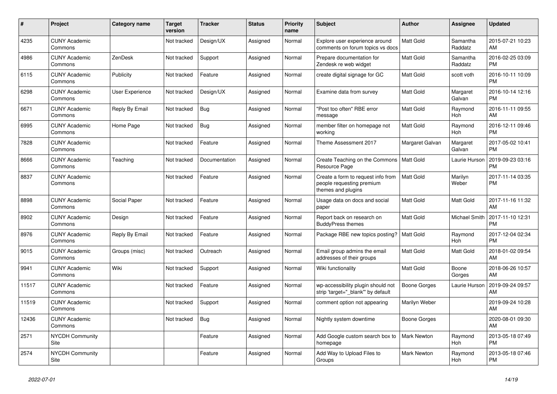| $\#$  | Project                         | <b>Category name</b> | <b>Target</b><br>version | <b>Tracker</b> | <b>Status</b> | <b>Priority</b><br>name | <b>Subject</b>                                                                        | <b>Author</b>       | <b>Assignee</b>       | <b>Updated</b>                |
|-------|---------------------------------|----------------------|--------------------------|----------------|---------------|-------------------------|---------------------------------------------------------------------------------------|---------------------|-----------------------|-------------------------------|
| 4235  | <b>CUNY Academic</b><br>Commons |                      | Not tracked              | Design/UX      | Assigned      | Normal                  | Explore user experience around<br>comments on forum topics vs docs                    | <b>Matt Gold</b>    | Samantha<br>Raddatz   | 2015-07-21 10:23<br>AM        |
| 4986  | <b>CUNY Academic</b><br>Commons | ZenDesk              | Not tracked              | Support        | Assigned      | Normal                  | Prepare documentation for<br>Zendesk re web widget                                    | Matt Gold           | Samantha<br>Raddatz   | 2016-02-25 03:09<br><b>PM</b> |
| 6115  | <b>CUNY Academic</b><br>Commons | Publicity            | Not tracked              | Feature        | Assigned      | Normal                  | create digital signage for GC                                                         | <b>Matt Gold</b>    | scott voth            | 2016-10-11 10:09<br><b>PM</b> |
| 6298  | <b>CUNY Academic</b><br>Commons | User Experience      | Not tracked              | Design/UX      | Assigned      | Normal                  | Examine data from survey                                                              | <b>Matt Gold</b>    | Margaret<br>Galvan    | 2016-10-14 12:16<br><b>PM</b> |
| 6671  | <b>CUNY Academic</b><br>Commons | Reply By Email       | Not tracked              | Bug            | Assigned      | Normal                  | "Post too often" RBE error<br>message                                                 | <b>Matt Gold</b>    | Raymond<br>Hoh        | 2016-11-11 09:55<br>AM        |
| 6995  | <b>CUNY Academic</b><br>Commons | Home Page            | Not tracked              | Bug            | Assigned      | Normal                  | member filter on homepage not<br>working                                              | Matt Gold           | Raymond<br><b>Hoh</b> | 2016-12-11 09:46<br><b>PM</b> |
| 7828  | <b>CUNY Academic</b><br>Commons |                      | Not tracked              | Feature        | Assigned      | Normal                  | Theme Assessment 2017                                                                 | Margaret Galvan     | Margaret<br>Galvan    | 2017-05-02 10:41<br><b>PM</b> |
| 8666  | <b>CUNY Academic</b><br>Commons | Teaching             | Not tracked              | Documentation  | Assigned      | Normal                  | Create Teaching on the Commons<br>Resource Page                                       | <b>Matt Gold</b>    | Laurie Hurson         | 2019-09-23 03:16<br>PM        |
| 8837  | <b>CUNY Academic</b><br>Commons |                      | Not tracked              | Feature        | Assigned      | Normal                  | Create a form to request info from<br>people requesting premium<br>themes and plugins | <b>Matt Gold</b>    | Marilyn<br>Weber      | 2017-11-14 03:35<br><b>PM</b> |
| 8898  | <b>CUNY Academic</b><br>Commons | Social Paper         | Not tracked              | Feature        | Assigned      | Normal                  | Usage data on docs and social<br>paper                                                | <b>Matt Gold</b>    | Matt Gold             | 2017-11-16 11:32<br>AM        |
| 8902  | <b>CUNY Academic</b><br>Commons | Design               | Not tracked              | Feature        | Assigned      | Normal                  | Report back on research on<br><b>BuddyPress themes</b>                                | Matt Gold           | Michael Smith         | 2017-11-10 12:31<br>PM        |
| 8976  | <b>CUNY Academic</b><br>Commons | Reply By Email       | Not tracked              | Feature        | Assigned      | Normal                  | Package RBE new topics posting?                                                       | Matt Gold           | Raymond<br><b>Hoh</b> | 2017-12-04 02:34<br><b>PM</b> |
| 9015  | <b>CUNY Academic</b><br>Commons | Groups (misc)        | Not tracked              | Outreach       | Assigned      | Normal                  | Email group admins the email<br>addresses of their groups                             | Matt Gold           | Matt Gold             | 2018-01-02 09:54<br>AM        |
| 9941  | <b>CUNY Academic</b><br>Commons | Wiki                 | Not tracked              | Support        | Assigned      | Normal                  | Wiki functionality                                                                    | <b>Matt Gold</b>    | Boone<br>Gorges       | 2018-06-26 10:57<br>AM        |
| 11517 | <b>CUNY Academic</b><br>Commons |                      | Not tracked              | Feature        | Assigned      | Normal                  | wp-accessibility plugin should not<br>strip 'target="_blank" by default               | <b>Boone Gorges</b> | Laurie Hurson         | 2019-09-24 09:57<br>AM        |
| 11519 | <b>CUNY Academic</b><br>Commons |                      | Not tracked              | Support        | Assigned      | Normal                  | comment option not appearing                                                          | Marilyn Weber       |                       | 2019-09-24 10:28<br>AM        |
| 12436 | <b>CUNY Academic</b><br>Commons |                      | Not tracked              | Bug            | Assigned      | Normal                  | Nightly system downtime                                                               | Boone Gorges        |                       | 2020-08-01 09:30<br>AM        |
| 2571  | <b>NYCDH Community</b><br>Site  |                      |                          | Feature        | Assigned      | Normal                  | Add Google custom search box to<br>homepage                                           | <b>Mark Newton</b>  | Raymond<br><b>Hoh</b> | 2013-05-18 07:49<br><b>PM</b> |
| 2574  | <b>NYCDH Community</b><br>Site  |                      |                          | Feature        | Assigned      | Normal                  | Add Way to Upload Files to<br>Groups                                                  | Mark Newton         | Raymond<br>Hoh        | 2013-05-18 07:46<br><b>PM</b> |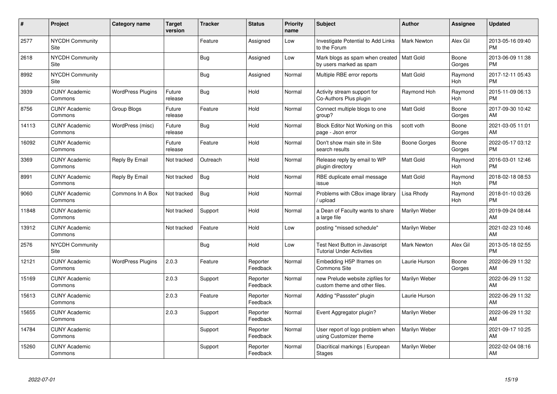| #     | Project                         | <b>Category name</b>     | <b>Target</b><br>version | <b>Tracker</b> | <b>Status</b>        | <b>Priority</b><br>name | <b>Subject</b>                                                     | <b>Author</b>      | <b>Assignee</b> | <b>Updated</b>                |
|-------|---------------------------------|--------------------------|--------------------------|----------------|----------------------|-------------------------|--------------------------------------------------------------------|--------------------|-----------------|-------------------------------|
| 2577  | <b>NYCDH Community</b><br>Site  |                          |                          | Feature        | Assigned             | Low                     | Investigate Potential to Add Links<br>to the Forum                 | <b>Mark Newton</b> | Alex Gil        | 2013-05-16 09:40<br><b>PM</b> |
| 2618  | <b>NYCDH Community</b><br>Site  |                          |                          | <b>Bug</b>     | Assigned             | Low                     | Mark blogs as spam when created<br>by users marked as spam         | Matt Gold          | Boone<br>Gorges | 2013-06-09 11:38<br><b>PM</b> |
| 8992  | <b>NYCDH Community</b><br>Site  |                          |                          | Bug            | Assigned             | Normal                  | Multiple RBE error reports                                         | Matt Gold          | Raymond<br>Hoh  | 2017-12-11 05:43<br><b>PM</b> |
| 3939  | <b>CUNY Academic</b><br>Commons | <b>WordPress Plugins</b> | Future<br>release        | Bug            | Hold                 | Normal                  | Activity stream support for<br>Co-Authors Plus plugin              | Raymond Hoh        | Raymond<br>Hoh  | 2015-11-09 06:13<br><b>PM</b> |
| 8756  | <b>CUNY Academic</b><br>Commons | Group Blogs              | Future<br>release        | Feature        | Hold                 | Normal                  | Connect multiple blogs to one<br>group?                            | <b>Matt Gold</b>   | Boone<br>Gorges | 2017-09-30 10:42<br>AM        |
| 14113 | <b>CUNY Academic</b><br>Commons | WordPress (misc)         | Future<br>release        | <b>Bug</b>     | Hold                 | Normal                  | Block Editor Not Working on this<br>page - Json error              | scott voth         | Boone<br>Gorges | 2021-03-05 11:01<br>AM        |
| 16092 | <b>CUNY Academic</b><br>Commons |                          | Future<br>release        | Feature        | Hold                 | Normal                  | Don't show main site in Site<br>search results                     | Boone Gorges       | Boone<br>Gorges | 2022-05-17 03:12<br><b>PM</b> |
| 3369  | <b>CUNY Academic</b><br>Commons | Reply By Email           | Not tracked              | Outreach       | Hold                 | Normal                  | Release reply by email to WP<br>plugin directory                   | <b>Matt Gold</b>   | Raymond<br>Hoh  | 2016-03-01 12:46<br><b>PM</b> |
| 8991  | <b>CUNY Academic</b><br>Commons | Reply By Email           | Not tracked              | <b>Bug</b>     | Hold                 | Normal                  | RBE duplicate email message<br>issue                               | <b>Matt Gold</b>   | Raymond<br>Hoh  | 2018-02-18 08:53<br><b>PM</b> |
| 9060  | <b>CUNY Academic</b><br>Commons | Commons In A Box         | Not tracked              | Bug            | Hold                 | Normal                  | Problems with CBox image library<br>/ upload                       | Lisa Rhody         | Raymond<br>Hoh  | 2018-01-10 03:26<br><b>PM</b> |
| 11848 | <b>CUNY Academic</b><br>Commons |                          | Not tracked              | Support        | Hold                 | Normal                  | a Dean of Faculty wants to share<br>a large file                   | Marilyn Weber      |                 | 2019-09-24 08:44<br>AM        |
| 13912 | <b>CUNY Academic</b><br>Commons |                          | Not tracked              | Feature        | Hold                 | Low                     | posting "missed schedule"                                          | Marilyn Weber      |                 | 2021-02-23 10:46<br>AM        |
| 2576  | <b>NYCDH Community</b><br>Site  |                          |                          | Bug            | Hold                 | Low                     | Test Next Button in Javascript<br><b>Tutorial Under Activities</b> | <b>Mark Newton</b> | Alex Gil        | 2013-05-18 02:55<br><b>PM</b> |
| 12121 | <b>CUNY Academic</b><br>Commons | <b>WordPress Plugins</b> | 2.0.3                    | Feature        | Reporter<br>Feedback | Normal                  | Embedding H5P Iframes on<br><b>Commons Site</b>                    | Laurie Hurson      | Boone<br>Gorges | 2022-06-29 11:32<br>AM        |
| 15169 | <b>CUNY Academic</b><br>Commons |                          | 2.0.3                    | Support        | Reporter<br>Feedback | Normal                  | new Prelude website zipfiles for<br>custom theme and other files.  | Marilyn Weber      |                 | 2022-06-29 11:32<br>AM        |
| 15613 | <b>CUNY Academic</b><br>Commons |                          | 2.0.3                    | Feature        | Reporter<br>Feedback | Normal                  | Adding "Passster" plugin                                           | Laurie Hurson      |                 | 2022-06-29 11:32<br>AM        |
| 15655 | <b>CUNY Academic</b><br>Commons |                          | 2.0.3                    | Support        | Reporter<br>Feedback | Normal                  | Event Aggregator plugin?                                           | Marilyn Weber      |                 | 2022-06-29 11:32<br>AM        |
| 14784 | <b>CUNY Academic</b><br>Commons |                          |                          | Support        | Reporter<br>Feedback | Normal                  | User report of logo problem when<br>using Customizer theme         | Marilyn Weber      |                 | 2021-09-17 10:25<br>AM        |
| 15260 | <b>CUNY Academic</b><br>Commons |                          |                          | Support        | Reporter<br>Feedback | Normal                  | Diacritical markings   European<br><b>Stages</b>                   | Marilyn Weber      |                 | 2022-02-04 08:16<br>AM        |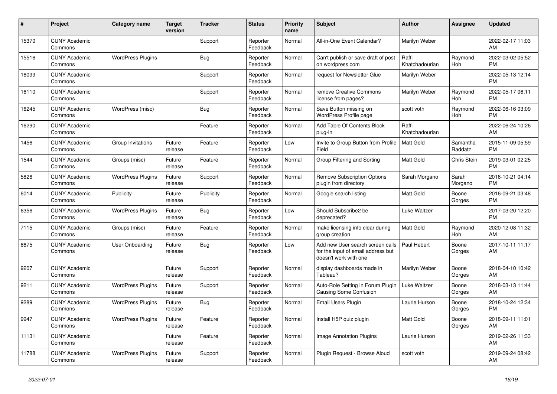| #     | Project                         | Category name            | <b>Target</b><br>version | <b>Tracker</b> | <b>Status</b>        | Priority<br>name | <b>Subject</b>                                                                                  | <b>Author</b>           | Assignee            | <b>Updated</b>                |
|-------|---------------------------------|--------------------------|--------------------------|----------------|----------------------|------------------|-------------------------------------------------------------------------------------------------|-------------------------|---------------------|-------------------------------|
| 15370 | <b>CUNY Academic</b><br>Commons |                          |                          | Support        | Reporter<br>Feedback | Normal           | All-in-One Event Calendar?                                                                      | Marilyn Weber           |                     | 2022-02-17 11:03<br>AM.       |
| 15516 | <b>CUNY Academic</b><br>Commons | <b>WordPress Plugins</b> |                          | Bug            | Reporter<br>Feedback | Normal           | Can't publish or save draft of post<br>on wordpress.com                                         | Raffi<br>Khatchadourian | Raymond<br>Hoh      | 2022-03-02 05:52<br><b>PM</b> |
| 16099 | <b>CUNY Academic</b><br>Commons |                          |                          | Support        | Reporter<br>Feedback | Normal           | request for Newsletter Glue                                                                     | Marilyn Weber           |                     | 2022-05-13 12:14<br><b>PM</b> |
| 16110 | <b>CUNY Academic</b><br>Commons |                          |                          | Support        | Reporter<br>Feedback | Normal           | remove Creative Commons<br>license from pages?                                                  | Marilyn Weber           | Raymond<br>Hoh      | 2022-05-17 06:11<br><b>PM</b> |
| 16245 | <b>CUNY Academic</b><br>Commons | WordPress (misc)         |                          | Bug            | Reporter<br>Feedback | Normal           | Save Button missing on<br>WordPress Profile page                                                | scott voth              | Raymond<br>Hoh      | 2022-06-16 03:09<br><b>PM</b> |
| 16290 | <b>CUNY Academic</b><br>Commons |                          |                          | Feature        | Reporter<br>Feedback | Normal           | Add Table Of Contents Block<br>plug-in                                                          | Raffi<br>Khatchadourian |                     | 2022-06-24 10:26<br>AM        |
| 1456  | <b>CUNY Academic</b><br>Commons | Group Invitations        | Future<br>release        | Feature        | Reporter<br>Feedback | Low              | Invite to Group Button from Profile<br>Field                                                    | Matt Gold               | Samantha<br>Raddatz | 2015-11-09 05:59<br><b>PM</b> |
| 1544  | <b>CUNY Academic</b><br>Commons | Groups (misc)            | Future<br>release        | Feature        | Reporter<br>Feedback | Normal           | Group Filtering and Sorting                                                                     | <b>Matt Gold</b>        | Chris Stein         | 2019-03-01 02:25<br><b>PM</b> |
| 5826  | <b>CUNY Academic</b><br>Commons | <b>WordPress Plugins</b> | Future<br>release        | Support        | Reporter<br>Feedback | Normal           | <b>Remove Subscription Options</b><br>plugin from directory                                     | Sarah Morgano           | Sarah<br>Morgano    | 2016-10-21 04:14<br><b>PM</b> |
| 6014  | <b>CUNY Academic</b><br>Commons | Publicity                | Future<br>release        | Publicity      | Reporter<br>Feedback | Normal           | Google search listing                                                                           | Matt Gold               | Boone<br>Gorges     | 2016-09-21 03:48<br><b>PM</b> |
| 6356  | <b>CUNY Academic</b><br>Commons | <b>WordPress Plugins</b> | Future<br>release        | Bug            | Reporter<br>Feedback | Low              | Should Subscribe2 be<br>deprecated?                                                             | Luke Waltzer            |                     | 2017-03-20 12:20<br><b>PM</b> |
| 7115  | <b>CUNY Academic</b><br>Commons | Groups (misc)            | Future<br>release        | Feature        | Reporter<br>Feedback | Normal           | make licensing info clear during<br>group creation                                              | Matt Gold               | Raymond<br>Hoh      | 2020-12-08 11:32<br><b>AM</b> |
| 8675  | <b>CUNY Academic</b><br>Commons | User Onboarding          | Future<br>release        | Bug            | Reporter<br>Feedback | Low              | Add new User search screen calls<br>for the input of email address but<br>doesn't work with one | Paul Hebert             | Boone<br>Gorges     | 2017-10-11 11:17<br>AM        |
| 9207  | <b>CUNY Academic</b><br>Commons |                          | Future<br>release        | Support        | Reporter<br>Feedback | Normal           | display dashboards made in<br>Tableau?                                                          | Marilyn Weber           | Boone<br>Gorges     | 2018-04-10 10:42<br><b>AM</b> |
| 9211  | <b>CUNY Academic</b><br>Commons | <b>WordPress Plugins</b> | Future<br>release        | Support        | Reporter<br>Feedback | Normal           | Auto-Role Setting in Forum Plugin<br><b>Causing Some Confusion</b>                              | Luke Waltzer            | Boone<br>Gorges     | 2018-03-13 11:44<br>AM.       |
| 9289  | <b>CUNY Academic</b><br>Commons | <b>WordPress Plugins</b> | Future<br>release        | Bug            | Reporter<br>Feedback | Normal           | Email Users Plugin                                                                              | Laurie Hurson           | Boone<br>Gorges     | 2018-10-24 12:34<br><b>PM</b> |
| 9947  | <b>CUNY Academic</b><br>Commons | <b>WordPress Plugins</b> | Future<br>release        | Feature        | Reporter<br>Feedback | Normal           | Install H5P quiz plugin                                                                         | Matt Gold               | Boone<br>Gorges     | 2018-09-11 11:01<br><b>AM</b> |
| 11131 | <b>CUNY Academic</b><br>Commons |                          | Future<br>release        | Feature        | Reporter<br>Feedback | Normal           | Image Annotation Plugins                                                                        | Laurie Hurson           |                     | 2019-02-26 11:33<br>AM        |
| 11788 | <b>CUNY Academic</b><br>Commons | <b>WordPress Plugins</b> | Future<br>release        | Support        | Reporter<br>Feedback | Normal           | Plugin Request - Browse Aloud                                                                   | scott voth              |                     | 2019-09-24 08:42<br>AM        |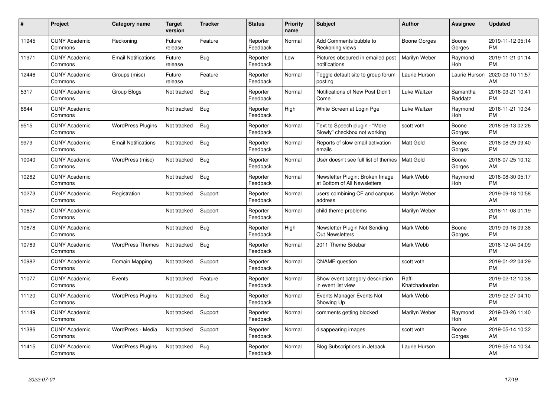| #     | Project                         | <b>Category name</b>       | Target<br>version | <b>Tracker</b> | <b>Status</b>        | Priority<br>name | <b>Subject</b>                                                  | <b>Author</b>           | <b>Assignee</b>     | <b>Updated</b>                |
|-------|---------------------------------|----------------------------|-------------------|----------------|----------------------|------------------|-----------------------------------------------------------------|-------------------------|---------------------|-------------------------------|
| 11945 | <b>CUNY Academic</b><br>Commons | Reckoning                  | Future<br>release | Feature        | Reporter<br>Feedback | Normal           | Add Comments bubble to<br>Reckoning views                       | <b>Boone Gorges</b>     | Boone<br>Gorges     | 2019-11-12 05:14<br><b>PM</b> |
| 11971 | <b>CUNY Academic</b><br>Commons | <b>Email Notifications</b> | Future<br>release | Bug            | Reporter<br>Feedback | Low              | Pictures obscured in emailed post<br>notifications              | Marilyn Weber           | Raymond<br>Hoh      | 2019-11-21 01:14<br><b>PM</b> |
| 12446 | <b>CUNY Academic</b><br>Commons | Groups (misc)              | Future<br>release | Feature        | Reporter<br>Feedback | Normal           | Toggle default site to group forum<br>posting                   | Laurie Hurson           | Laurie Hurson       | 2020-03-10 11:57<br>AM        |
| 5317  | <b>CUNY Academic</b><br>Commons | Group Blogs                | Not tracked       | <b>Bug</b>     | Reporter<br>Feedback | Normal           | Notifications of New Post Didn't<br>Come                        | Luke Waltzer            | Samantha<br>Raddatz | 2016-03-21 10:41<br><b>PM</b> |
| 6644  | <b>CUNY Academic</b><br>Commons |                            | Not tracked       | <b>Bug</b>     | Reporter<br>Feedback | High             | White Screen at Login Pge                                       | Luke Waltzer            | Raymond<br>Hoh      | 2016-11-21 10:34<br><b>PM</b> |
| 9515  | <b>CUNY Academic</b><br>Commons | <b>WordPress Plugins</b>   | Not tracked       | <b>Bug</b>     | Reporter<br>Feedback | Normal           | Text to Speech plugin - "More<br>Slowly" checkbox not working   | scott voth              | Boone<br>Gorges     | 2018-06-13 02:26<br><b>PM</b> |
| 9979  | <b>CUNY Academic</b><br>Commons | <b>Email Notifications</b> | Not tracked       | Bug            | Reporter<br>Feedback | Normal           | Reports of slow email activation<br>emails                      | <b>Matt Gold</b>        | Boone<br>Gorges     | 2018-08-29 09:40<br><b>PM</b> |
| 10040 | <b>CUNY Academic</b><br>Commons | WordPress (misc)           | Not tracked       | Bug            | Reporter<br>Feedback | Normal           | User doesn't see full list of themes                            | <b>Matt Gold</b>        | Boone<br>Gorges     | 2018-07-25 10:12<br>AM        |
| 10262 | <b>CUNY Academic</b><br>Commons |                            | Not tracked       | <b>Bug</b>     | Reporter<br>Feedback | Normal           | Newsletter Plugin: Broken Image<br>at Bottom of All Newsletters | Mark Webb               | Raymond<br>Hoh      | 2018-08-30 05:17<br><b>PM</b> |
| 10273 | <b>CUNY Academic</b><br>Commons | Registration               | Not tracked       | Support        | Reporter<br>Feedback | Normal           | users combining CF and campus<br>address                        | Marilyn Weber           |                     | 2019-09-18 10:58<br>AM        |
| 10657 | <b>CUNY Academic</b><br>Commons |                            | Not tracked       | Support        | Reporter<br>Feedback | Normal           | child theme problems                                            | Marilyn Weber           |                     | 2018-11-08 01:19<br><b>PM</b> |
| 10678 | <b>CUNY Academic</b><br>Commons |                            | Not tracked       | <b>Bug</b>     | Reporter<br>Feedback | High             | Newsletter Plugin Not Sending<br><b>Out Newsletters</b>         | Mark Webb               | Boone<br>Gorges     | 2019-09-16 09:38<br><b>PM</b> |
| 10769 | <b>CUNY Academic</b><br>Commons | <b>WordPress Themes</b>    | Not tracked       | <b>Bug</b>     | Reporter<br>Feedback | Normal           | 2011 Theme Sidebar                                              | Mark Webb               |                     | 2018-12-04 04:09<br><b>PM</b> |
| 10982 | <b>CUNY Academic</b><br>Commons | Domain Mapping             | Not tracked       | Support        | Reporter<br>Feedback | Normal           | <b>CNAME</b> question                                           | scott voth              |                     | 2019-01-22 04:29<br><b>PM</b> |
| 11077 | <b>CUNY Academic</b><br>Commons | Events                     | Not tracked       | Feature        | Reporter<br>Feedback | Normal           | Show event category description<br>in event list view           | Raffi<br>Khatchadourian |                     | 2019-02-12 10:38<br><b>PM</b> |
| 11120 | <b>CUNY Academic</b><br>Commons | <b>WordPress Plugins</b>   | Not tracked       | Bug            | Reporter<br>Feedback | Normal           | Events Manager Events Not<br>Showing Up                         | Mark Webb               |                     | 2019-02-27 04:10<br><b>PM</b> |
| 11149 | <b>CUNY Academic</b><br>Commons |                            | Not tracked       | Support        | Reporter<br>Feedback | Normal           | comments getting blocked                                        | Marilyn Weber           | Raymond<br>Hoh      | 2019-03-26 11:40<br><b>AM</b> |
| 11386 | <b>CUNY Academic</b><br>Commons | WordPress - Media          | Not tracked       | Support        | Reporter<br>Feedback | Normal           | disappearing images                                             | scott voth              | Boone<br>Gorges     | 2019-05-14 10:32<br>AM.       |
| 11415 | <b>CUNY Academic</b><br>Commons | <b>WordPress Plugins</b>   | Not tracked       | Bug            | Reporter<br>Feedback | Normal           | Blog Subscriptions in Jetpack                                   | Laurie Hurson           |                     | 2019-05-14 10:34<br>AM        |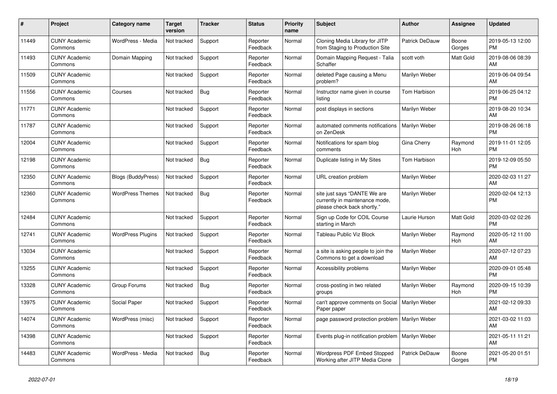| #     | <b>Project</b>                  | Category name             | Target<br>version | <b>Tracker</b> | <b>Status</b>        | <b>Priority</b><br>name | <b>Subject</b>                                                                                | <b>Author</b>        | Assignee        | <b>Updated</b>                |
|-------|---------------------------------|---------------------------|-------------------|----------------|----------------------|-------------------------|-----------------------------------------------------------------------------------------------|----------------------|-----------------|-------------------------------|
| 11449 | <b>CUNY Academic</b><br>Commons | WordPress - Media         | Not tracked       | Support        | Reporter<br>Feedback | Normal                  | Cloning Media Library for JITP<br>from Staging to Production Site                             | Patrick DeDauw       | Boone<br>Gorges | 2019-05-13 12:00<br><b>PM</b> |
| 11493 | <b>CUNY Academic</b><br>Commons | Domain Mapping            | Not tracked       | Support        | Reporter<br>Feedback | Normal                  | Domain Mapping Request - Talia<br>Schaffer                                                    | scott voth           | Matt Gold       | 2019-08-06 08:39<br>AM        |
| 11509 | <b>CUNY Academic</b><br>Commons |                           | Not tracked       | Support        | Reporter<br>Feedback | Normal                  | deleted Page causing a Menu<br>problem?                                                       | Marilyn Weber        |                 | 2019-06-04 09:54<br>AM        |
| 11556 | <b>CUNY Academic</b><br>Commons | Courses                   | Not tracked       | Bug            | Reporter<br>Feedback | Normal                  | Instructor name given in course<br>listina                                                    | Tom Harbison         |                 | 2019-06-25 04:12<br><b>PM</b> |
| 11771 | <b>CUNY Academic</b><br>Commons |                           | Not tracked       | Support        | Reporter<br>Feedback | Normal                  | post displays in sections                                                                     | Marilyn Weber        |                 | 2019-08-20 10:34<br>AM        |
| 11787 | <b>CUNY Academic</b><br>Commons |                           | Not tracked       | Support        | Reporter<br>Feedback | Normal                  | automated comments notifications<br>on ZenDesk                                                | <b>Marilyn Weber</b> |                 | 2019-08-26 06:18<br><b>PM</b> |
| 12004 | <b>CUNY Academic</b><br>Commons |                           | Not tracked       | Support        | Reporter<br>Feedback | Normal                  | Notifications for spam blog<br>comments                                                       | Gina Cherry          | Raymond<br>Hoh  | 2019-11-01 12:05<br><b>PM</b> |
| 12198 | <b>CUNY Academic</b><br>Commons |                           | Not tracked       | Bug            | Reporter<br>Feedback | Normal                  | Duplicate listing in My Sites                                                                 | Tom Harbison         |                 | 2019-12-09 05:50<br><b>PM</b> |
| 12350 | <b>CUNY Academic</b><br>Commons | <b>Blogs (BuddyPress)</b> | Not tracked       | Support        | Reporter<br>Feedback | Normal                  | URL creation problem                                                                          | Marilyn Weber        |                 | 2020-02-03 11:27<br>AM        |
| 12360 | <b>CUNY Academic</b><br>Commons | <b>WordPress Themes</b>   | Not tracked       | Bug            | Reporter<br>Feedback | Normal                  | site just says "DANTE We are<br>currently in maintenance mode,<br>please check back shortly.' | Marilyn Weber        |                 | 2020-02-04 12:13<br><b>PM</b> |
| 12484 | <b>CUNY Academic</b><br>Commons |                           | Not tracked       | Support        | Reporter<br>Feedback | Normal                  | Sign up Code for COIL Course<br>starting in March                                             | Laurie Hurson        | Matt Gold       | 2020-03-02 02:26<br><b>PM</b> |
| 12741 | <b>CUNY Academic</b><br>Commons | <b>WordPress Plugins</b>  | Not tracked       | Support        | Reporter<br>Feedback | Normal                  | Tableau Public Viz Block                                                                      | Marilyn Weber        | Raymond<br>Hoh  | 2020-05-12 11:00<br>AM        |
| 13034 | <b>CUNY Academic</b><br>Commons |                           | Not tracked       | Support        | Reporter<br>Feedback | Normal                  | a site is asking people to join the<br>Commons to get a download                              | Marilyn Weber        |                 | 2020-07-12 07:23<br>AM        |
| 13255 | <b>CUNY Academic</b><br>Commons |                           | Not tracked       | Support        | Reporter<br>Feedback | Normal                  | Accessibility problems                                                                        | Marilyn Weber        |                 | 2020-09-01 05:48<br><b>PM</b> |
| 13328 | <b>CUNY Academic</b><br>Commons | Group Forums              | Not tracked       | <b>Bug</b>     | Reporter<br>Feedback | Normal                  | cross-posting in two related<br>groups                                                        | Marilyn Weber        | Raymond<br>Hoh  | 2020-09-15 10:39<br><b>PM</b> |
| 13975 | <b>CUNY Academic</b><br>Commons | Social Paper              | Not tracked       | Support        | Reporter<br>Feedback | Normal                  | can't approve comments on Social<br>Paper paper                                               | Marilyn Weber        |                 | 2021-02-12 09:33<br>AM        |
| 14074 | <b>CUNY Academic</b><br>Commons | WordPress (misc)          | Not tracked       | Support        | Reporter<br>Feedback | Normal                  | page password protection problem                                                              | Marilyn Weber        |                 | 2021-03-02 11:03<br>AM        |
| 14398 | <b>CUNY Academic</b><br>Commons |                           | Not tracked       | Support        | Reporter<br>Feedback | Normal                  | Events plug-in notification problem                                                           | Marilyn Weber        |                 | 2021-05-11 11:21<br>AM        |
| 14483 | <b>CUNY Academic</b><br>Commons | WordPress - Media         | Not tracked       | Bug            | Reporter<br>Feedback | Normal                  | <b>Wordpress PDF Embed Stopped</b><br>Working after JITP Media Clone                          | Patrick DeDauw       | Boone<br>Gorges | 2021-05-20 01:51<br><b>PM</b> |